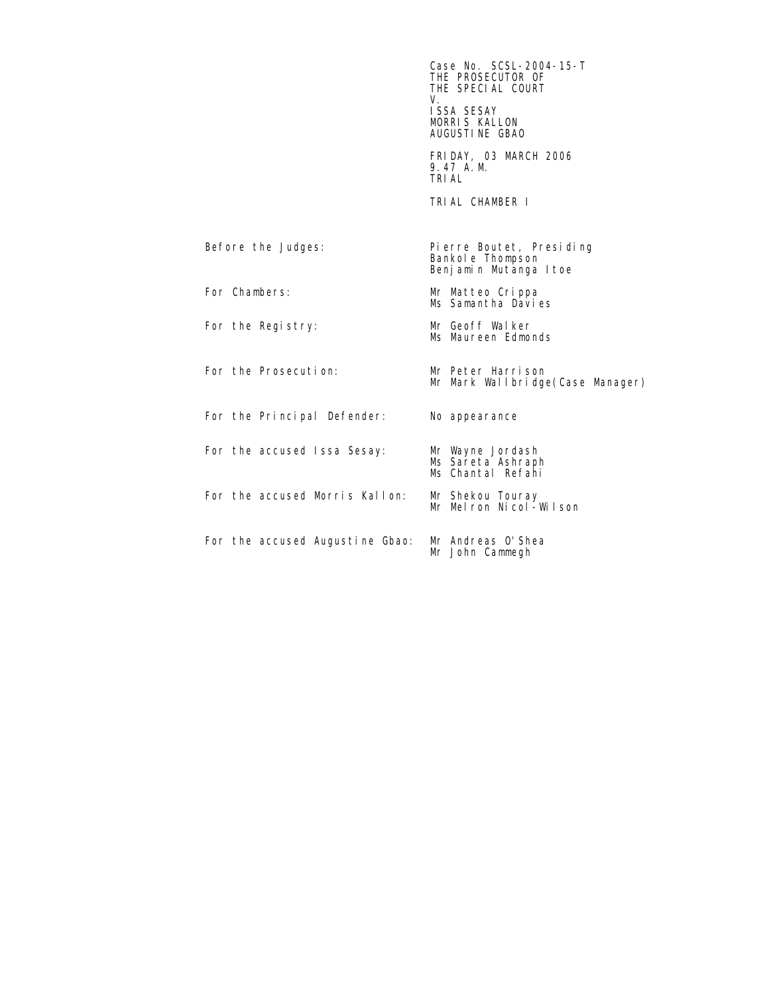$\text{Case No. } \text{SCSL-2004-15-T}$ THE PROSECUTOR OF THE SPECIAL COURT<br>V. V. ISSA SESAY MORRIS KALLON AUGUSTINE GBAO

 FRIDAY, 03 MARCH 2006 9.47 A.M. TRIAL

TRIAL CHAMBER I

Before the Judges: Pierre Boutet, Presiding Bankole Thompson Benjamin Mutanga Itoe For Chambers: Mr Matteo Crippa Ms Samantha Davies For the Registry: Mr Geoff Walker Ms Maureen Edmonds For the Prosecution: Mr Peter Harrison Mr Mark Wallbridge(Case Manager) For the Principal Defender: No appearance For the accused Issa Sesay: Mr Wayne Jordash Ms Sareta Ashraph Ms Chantal Refahi For the accused Morris Kallon: Mr Shekou Touray<br>Mr Melron Nicol-Wilson For the accused Augustine Gbao: Mr Andreas O'Shea Mr John Cammegh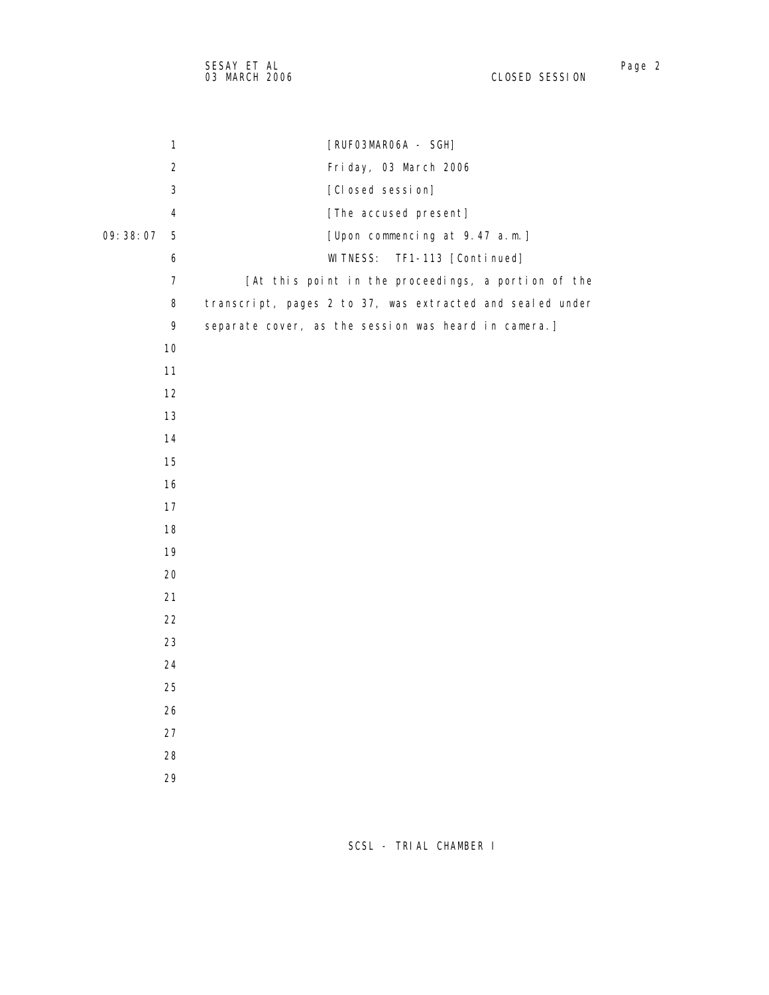| 1                          | [RUFO3MARO6A - SGH]                                       |
|----------------------------|-----------------------------------------------------------|
| $\sqrt{2}$                 | Friday, 03 March 2006                                     |
| $\sqrt{3}$                 | [Closed session]                                          |
| 4                          | [The accused present]                                     |
| 09:38:07<br>$\overline{5}$ | [Upon commencing at 9.47 a.m.]                            |
| 6                          | <b>WI TNESS:</b><br>TF1-113 [Continued]                   |
| $\overline{7}$             | [At this point in the proceedings, a portion of the       |
| 8                          | transcript, pages 2 to 37, was extracted and sealed under |
| 9                          | separate cover, as the session was heard in camera.]      |
| 10                         |                                                           |
| 11                         |                                                           |
| 12                         |                                                           |
| 13                         |                                                           |
| 14                         |                                                           |
| 15                         |                                                           |
| 16                         |                                                           |
| 17                         |                                                           |
| 18                         |                                                           |
| 19                         |                                                           |
| 20                         |                                                           |
| 21                         |                                                           |
| 22                         |                                                           |
| 23                         |                                                           |
| 24                         |                                                           |
| 25                         |                                                           |
| 26                         |                                                           |
| 27                         |                                                           |
| 28                         |                                                           |
| 29                         |                                                           |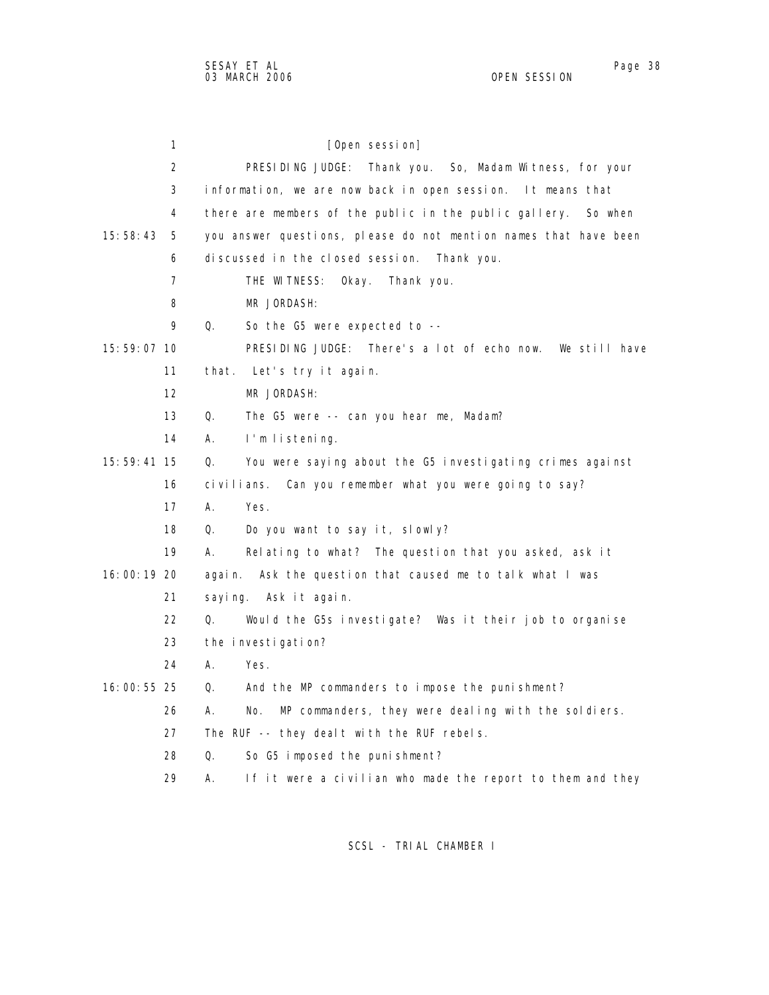| 1              | [Open session]                                                    |
|----------------|-------------------------------------------------------------------|
| 2              | PRESIDING JUDGE: Thank you. So, Madam Witness, for your           |
| 3              | information, we are now back in open session. It means that       |
| 4              | there are members of the public in the public gallery.<br>So when |
| 15:58:43<br>5  | you answer questions, please do not mention names that have been  |
| 6              | discussed in the closed session. Thank you.                       |
| $\overline{7}$ | THE WITNESS:<br>0kay.<br>Thank you.                               |
| 8              | MR JORDASH:                                                       |
| 9              | Q.<br>So the G5 were expected to --                               |
| 15:59:07 10    | PRESIDING JUDGE: There's a lot of echo now. We still have         |
| 11             | that. Let's try it again.                                         |
| 12             | MR JORDASH:                                                       |
| 13             | Q.<br>The G5 were -- can you hear me, Madam?                      |
| 14             | А.<br>I'm listening.                                              |
| $15:59:41$ 15  | You were saying about the G5 investigating crimes against<br>Q.   |
| 16             | civilians.<br>Can you remember what you were going to say?        |
| 17             | А.<br>Yes.                                                        |
| 18             | Do you want to say it, slowly?<br>Q.                              |
| 19             | А.<br>Relating to what? The question that you asked, ask it       |
| 16:00:19 20    | Ask the question that caused me to talk what I was<br>agai n.     |
| 21             | saying. Askitagain.                                               |
| 22             | Q.<br>Would the G5s investigate? Was it their job to organise     |
| 23             | the investigation?                                                |
| 24             | А.<br>Yes.                                                        |
| 16:00:55 25    | And the MP commanders to impose the punishment?<br>Q.             |
| 26             | MP commanders, they were dealing with the soldiers.<br>А.<br>No.  |
| 27             | The RUF -- they deal t with the RUF rebels.                       |
| 28             | Q.<br>So G5 imposed the punishment?                               |

29 A. If it were a civilian who made the report to them and they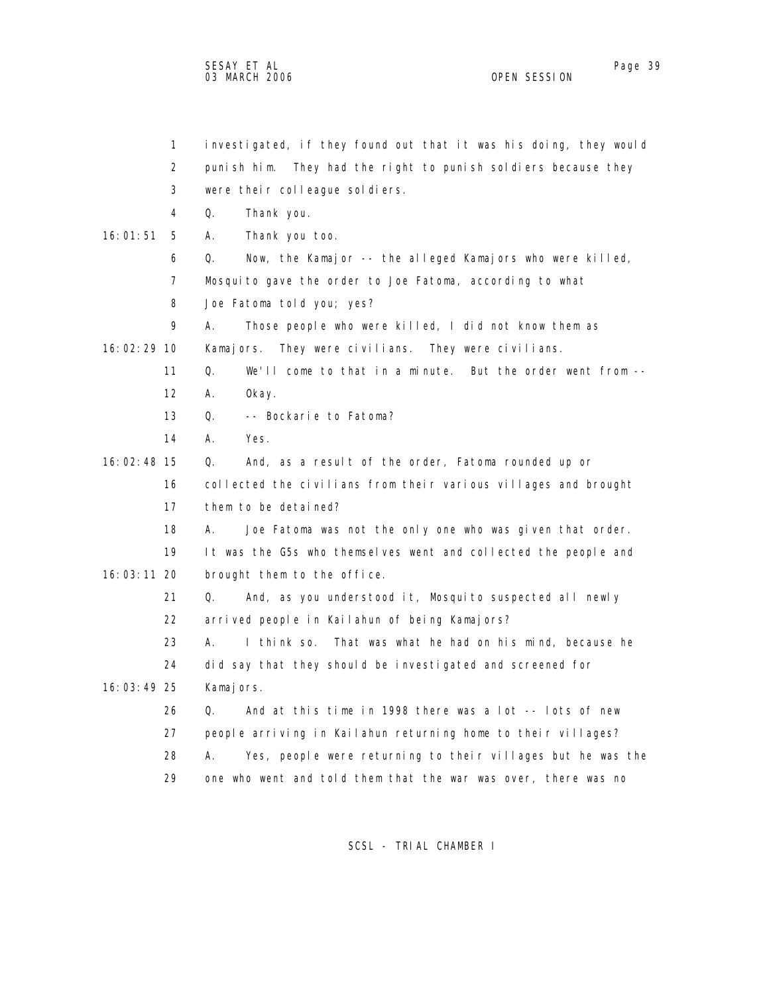SESAY ET AL Page 39 03 MARCH 2006

 1 investigated, if they found out that it was his doing, they would 2 punish him. They had the right to punish soldiers because they 3 were their colleague soldiers. 4 Q. Thank you. 16:01:51 5 A. Thank you too. 6 Q. Now, the Kamajor -- the alleged Kamajors who were killed, 7 Mosquito gave the order to Joe Fatoma, according to what 8 Joe Fatoma told you; yes? 9 A. Those people who were killed, I did not know them as 16:02:29 10 Kamajors. They were civilians. They were civilians. 11 Q. We'll come to that in a minute. But the order went from -- 12 A. Okay. 13 Q. -- Bockarie to Fatoma? 14 A. Yes. 16:02:48 15 Q. And, as a result of the order, Fatoma rounded up or 16 collected the civilians from their various villages and brought 17 them to be detained? 18 A. Joe Fatoma was not the only one who was given that order. 19 It was the G5s who themselves went and collected the people and 16:03:11 20 brought them to the office. 21 Q. And, as you understood it, Mosquito suspected all newly 22 arrived people in Kailahun of being Kamajors? 23 A. I think so. That was what he had on his mind, because he 24 did say that they should be investigated and screened for 16:03:49 25 Kamajors. 26 Q. And at this time in 1998 there was a lot -- lots of new 27 people arriving in Kailahun returning home to their villages? 28 A. Yes, people were returning to their villages but he was the 29 one who went and told them that the war was over, there was no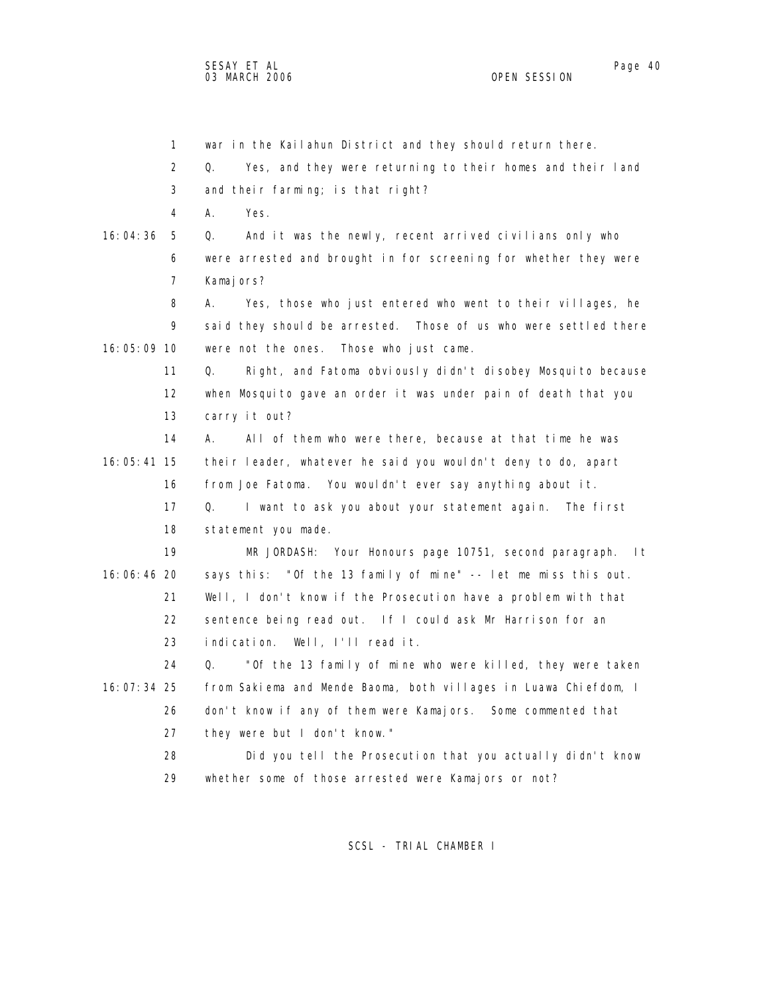1 war in the Kailahun District and they should return there. 2 Q. Yes, and they were returning to their homes and their land 3 and their farming; is that right? 4 A. Yes. 16:04:36 5 Q. And it was the newly, recent arrived civilians only who 6 were arrested and brought in for screening for whether they were 7 Kamajors? 8 A. Yes, those who just entered who went to their villages, he 9 said they should be arrested. Those of us who were settled there 16:05:09 10 were not the ones. Those who just came. 11 Q. Right, and Fatoma obviously didn't disobey Mosquito because 12 when Mosquito gave an order it was under pain of death that you 13 carry it out? 14 A. All of them who were there, because at that time he was 16:05:41 15 their leader, whatever he said you wouldn't deny to do, apart 16 from Joe Fatoma. You wouldn't ever say anything about it. 17 Q. I want to ask you about your statement again. The first 18 statement you made. 19 MR JORDASH: Your Honours page 10751, second paragraph. It 16:06:46 20 says this: "Of the 13 family of mine" -- let me miss this out. 21 Well, I don't know if the Prosecution have a problem with that 22 sentence being read out. If I could ask Mr Harrison for an 23 indication. Well, I'll read it. 24 Q. "Of the 13 family of mine who were killed, they were taken 16:07:34 25 from Sakiema and Mende Baoma, both villages in Luawa Chiefdom, I 26 don't know if any of them were Kamajors. Some commented that 27 they were but I don't know." 28 Did you tell the Prosecution that you actually didn't know 29 whether some of those arrested were Kamajors or not?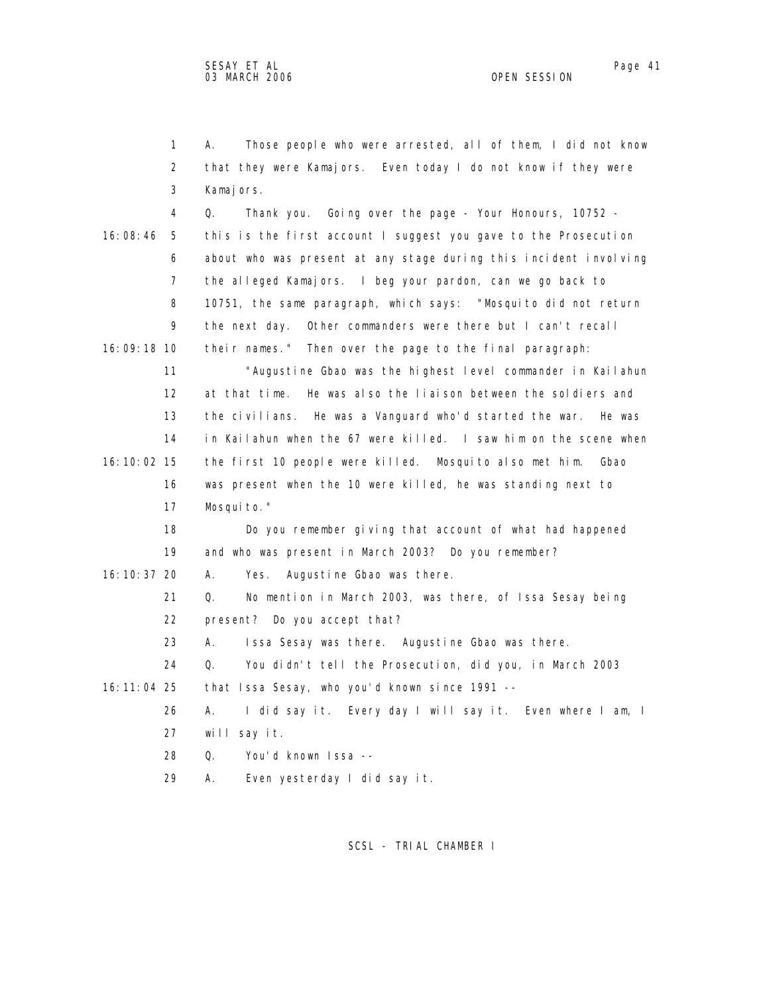1 A. Those people who were arrested, all of them, I did not know 2 that they were Kamajors. Even today I do not know if they were 3 Kamajors. 4 Q. Thank you. Going over the page - Your Honours, 10752 - 16:08:46 5 this is the first account I suggest you gave to the Prosecution 6 about who was present at any stage during this incident involving 7 the alleged Kamajors. I beg your pardon, can we go back to 8 10751, the same paragraph, which says: "Mosquito did not return 9 the next day. Other commanders were there but I can't recall 16:09:18 10 their names." Then over the page to the final paragraph: 11 "Augustine Gbao was the highest level commander in Kailahun 12 at that time. He was also the liaison between the soldiers and 13 the civilians. He was a Vanguard who'd started the war. He was 14 in Kailahun when the 67 were killed. I saw him on the scene when 16:10:02 15 the first 10 people were killed. Mosquito also met him. Gbao 16 was present when the 10 were killed, he was standing next to 17 Mosquito." 18 Do you remember giving that account of what had happened 19 and who was present in March 2003? Do you remember? 16:10:37 20 A. Yes. Augustine Gbao was there. 21 Q. No mention in March 2003, was there, of Issa Sesay being 22 present? Do you accept that? 23 A. Issa Sesay was there. Augustine Gbao was there. 24 Q. You didn't tell the Prosecution, did you, in March 2003 16:11:04 25 that Issa Sesay, who you'd known since 1991 -- 26 A. I did say it. Every day I will say it. Even where I am, I 27 will say it. 28 Q. You'd known Issa -- 29 A. Even yesterday I did say it.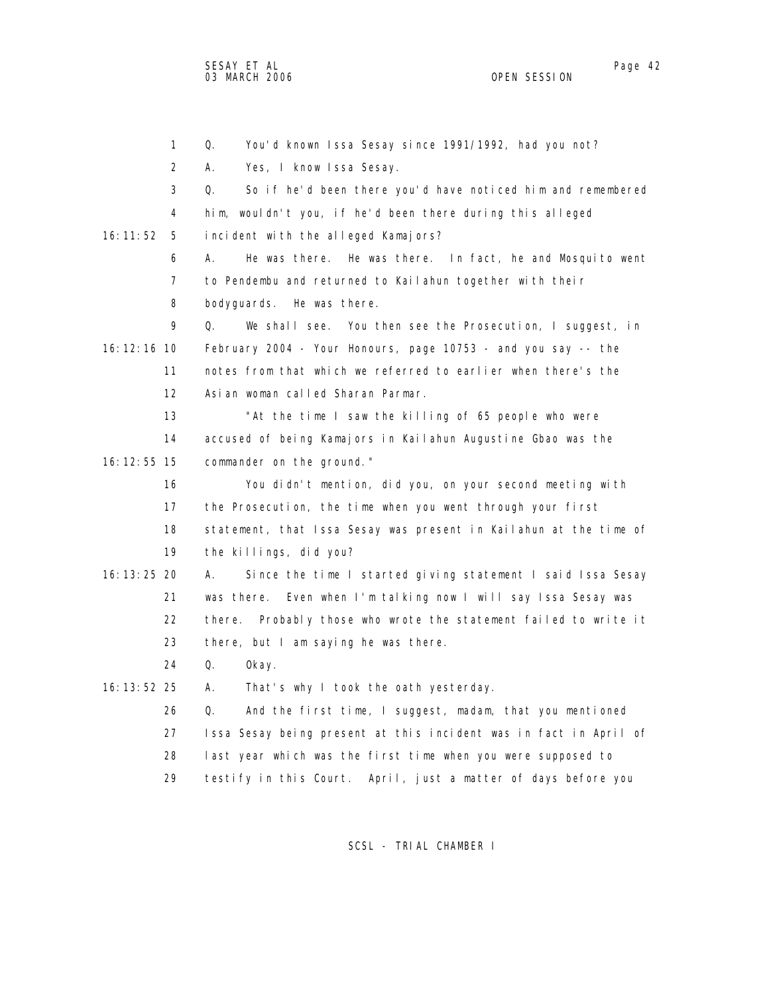1 Q. You'd known Issa Sesay since 1991/1992, had you not? 2 A. Yes, I know Issa Sesay. 3 Q. So if he'd been there you'd have noticed him and remembered 4 him, wouldn't you, if he'd been there during this alleged 16:11:52 5 incident with the alleged Kamajors? 6 A. He was there. He was there. In fact, he and Mosquito went 7 to Pendembu and returned to Kailahun together with their 8 bodyguards. He was there. 9 Q. We shall see. You then see the Prosecution, I suggest, in 16:12:16 10 February 2004 - Your Honours, page 10753 - and you say -- the 11 notes from that which we referred to earlier when there's the 12 Asian woman called Sharan Parmar. 13 "At the time I saw the killing of 65 people who were 14 accused of being Kamajors in Kailahun Augustine Gbao was the 16:12:55 15 commander on the ground." 16 You didn't mention, did you, on your second meeting with 17 the Prosecution, the time when you went through your first 18 statement, that Issa Sesay was present in Kailahun at the time of 19 the killings, did you? 16:13:25 20 A. Since the time I started giving statement I said Issa Sesay 21 was there. Even when I'm talking now I will say Issa Sesay was 22 there. Probably those who wrote the statement failed to write it 23 there, but I am saying he was there. 24 Q. Okay. 16:13:52 25 A. That's why I took the oath yesterday. 26 Q. And the first time, I suggest, madam, that you mentioned 27 Issa Sesay being present at this incident was in fact in April of 28 last year which was the first time when you were supposed to 29 testify in this Court. April, just a matter of days before you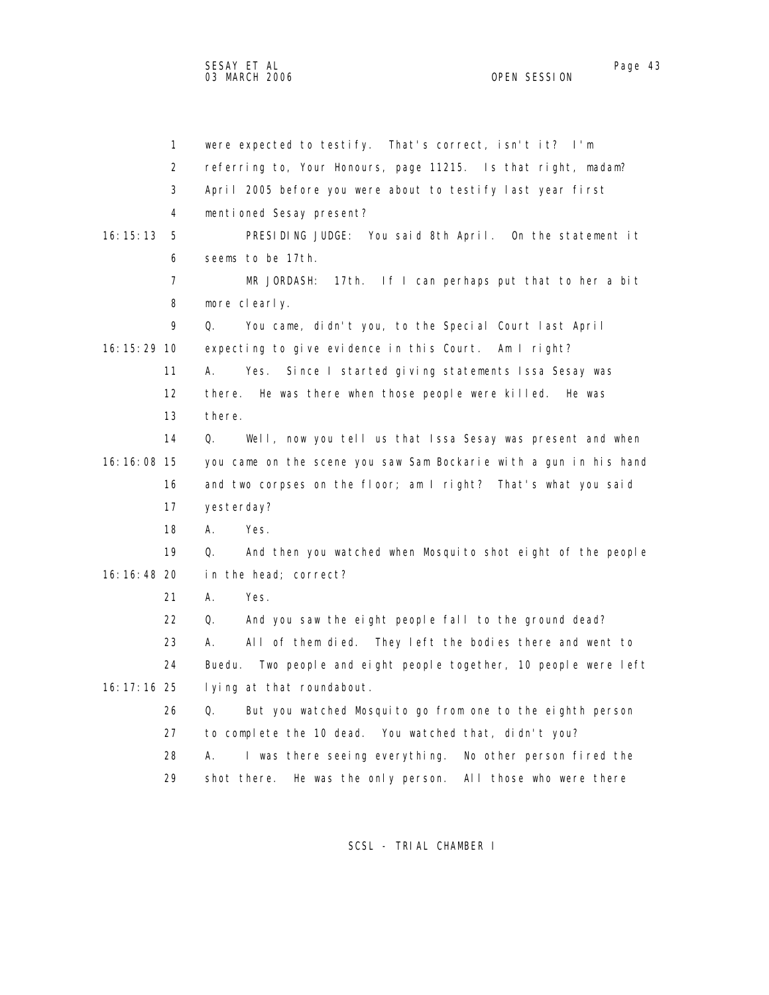1 were expected to testify. That's correct, isn't it? I'm 2 referring to, Your Honours, page 11215. Is that right, madam? 3 April 2005 before you were about to testify last year first 4 mentioned Sesay present? 16:15:13 5 PRESIDING JUDGE: You said 8th April. On the statement it 6 seems to be 17th. 7 MR JORDASH: 17th. If I can perhaps put that to her a bit 8 more clearly. 9 Q. You came, didn't you, to the Special Court last April 16:15:29 10 expecting to give evidence in this Court. Am I right? 11 A. Yes. Since I started giving statements Issa Sesay was 12 there. He was there when those people were killed. He was 13 there. 14 Q. Well, now you tell us that Issa Sesay was present and when 16:16:08 15 you came on the scene you saw Sam Bockarie with a gun in his hand 16 and two corpses on the floor; am I right? That's what you said 17 yesterday? 18 A. Yes. 19 Q. And then you watched when Mosquito shot eight of the people 16:16:48 20 in the head; correct? 21 A. Yes. 22 Q. And you saw the eight people fall to the ground dead? 23 A. All of them died. They left the bodies there and went to 24 Buedu. Two people and eight people together, 10 people were left 16:17:16 25 lying at that roundabout. 26 Q. But you watched Mosquito go from one to the eighth person 27 to complete the 10 dead. You watched that, didn't you? 28 A. I was there seeing everything. No other person fired the 29 shot there. He was the only person. All those who were there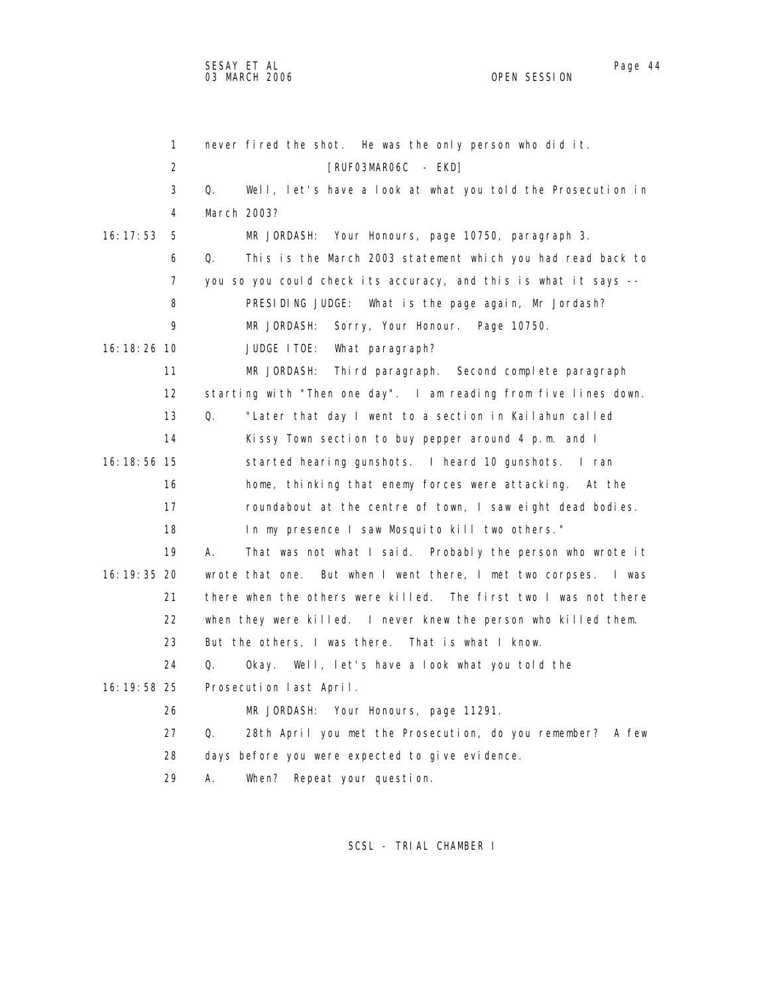1 never fired the shot. He was the only person who did it. 2 **EXPLOSE FRUFO3MARO6C** - EKD] 3 Q. Well, let's have a look at what you told the Prosecution in 4 March 2003? 16:17:53 5 MR JORDASH: Your Honours, page 10750, paragraph 3. 6 Q. This is the March 2003 statement which you had read back to 7 you so you could check its accuracy, and this is what it says -- 8 PRESIDING JUDGE: What is the page again, Mr Jordash? 9 MR JORDASH: Sorry, Your Honour. Page 10750. 16:18:26 10 JUDGE ITOE: What paragraph? 11 MR JORDASH: Third paragraph. Second complete paragraph 12 starting with "Then one day". I am reading from five lines down. 13 Q. "Later that day I went to a section in Kailahun called 14 Kissy Town section to buy pepper around 4 p.m. and I 16:18:56 15 started hearing gunshots. I heard 10 gunshots. I ran 16 home, thinking that enemy forces were attacking. At the 17 roundabout at the centre of town, I saw eight dead bodies. 18 In my presence I saw Mosquito kill two others." 19 A. That was not what I said. Probably the person who wrote it 16:19:35 20 wrote that one. But when I went there, I met two corpses. I was 21 there when the others were killed. The first two I was not there 22 when they were killed. I never knew the person who killed them. 23 But the others, I was there. That is what I know. 24 Q. Okay. Well, let's have a look what you told the 16:19:58 25 Prosecution last April. 26 MR JORDASH: Your Honours, page 11291. 27 Q. 28th April you met the Prosecution, do you remember? A few 28 days before you were expected to give evidence. 29 A. When? Repeat your question.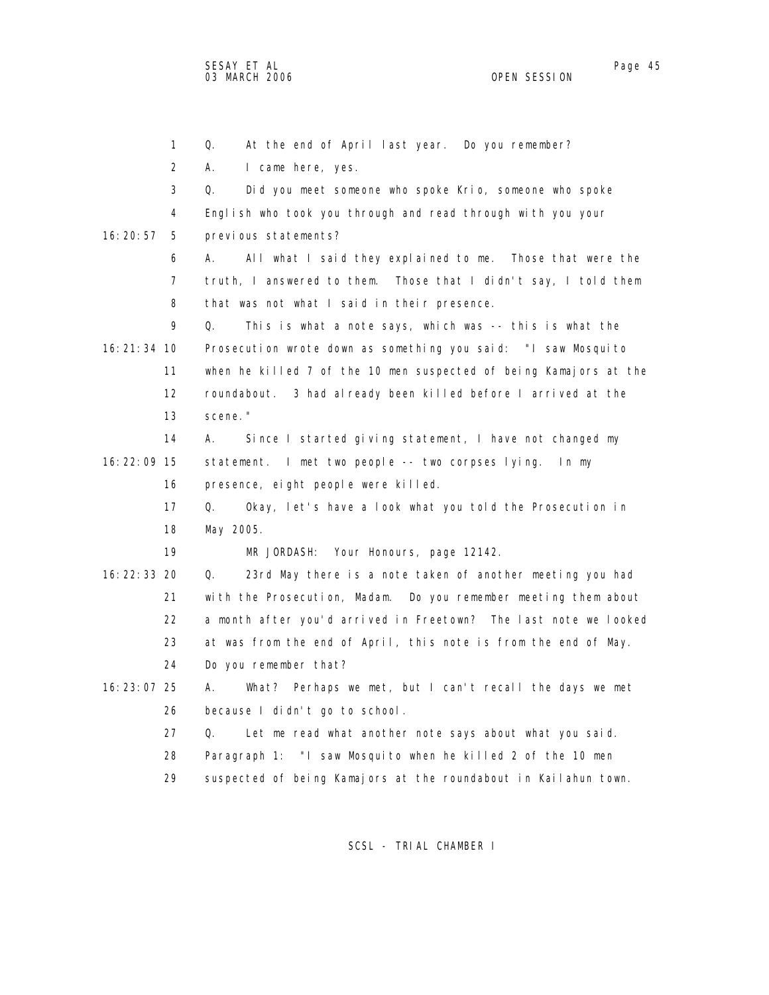1 Q. At the end of April last year. Do you remember? 2 A. I came here, yes. 3 Q. Did you meet someone who spoke Krio, someone who spoke 4 English who took you through and read through with you your 16:20:57 5 previous statements? 6 A. All what I said they explained to me. Those that were the 7 truth, I answered to them. Those that I didn't say, I told them 8 that was not what I said in their presence. 9 Q. This is what a note says, which was -- this is what the 16:21:34 10 Prosecution wrote down as something you said: "I saw Mosquito 11 when he killed 7 of the 10 men suspected of being Kamajors at the 12 roundabout. 3 had already been killed before I arrived at the 13 scene." 14 A. Since I started giving statement, I have not changed my 16:22:09 15 statement. I met two people -- two corpses lying. In my 16 presence, eight people were killed. 17 Q. Okay, let's have a look what you told the Prosecution in 18 May 2005. 19 MR JORDASH: Your Honours, page 12142. 16:22:33 20 Q. 23rd May there is a note taken of another meeting you had 21 with the Prosecution, Madam. Do you remember meeting them about 22 a month after you'd arrived in Freetown? The last note we looked 23 at was from the end of April, this note is from the end of May. 24 Do you remember that? 16:23:07 25 A. What? Perhaps we met, but I can't recall the days we met 26 because I didn't go to school. 27 Q. Let me read what another note says about what you said. 28 Paragraph 1: "I saw Mosquito when he killed 2 of the 10 men 29 suspected of being Kamajors at the roundabout in Kailahun town.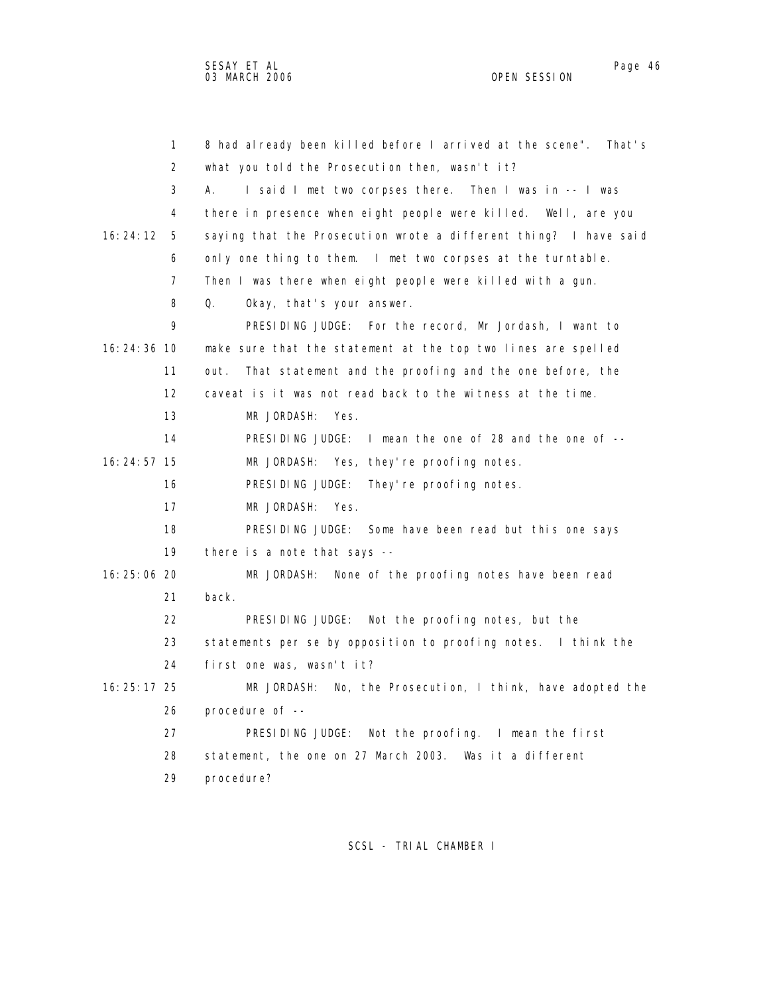1 8 had already been killed before I arrived at the scene". That's 2 what you told the Prosecution then, wasn't it? 3 A. I said I met two corpses there. Then I was in -- I was 4 there in presence when eight people were killed. Well, are you 16:24:12 5 saying that the Prosecution wrote a different thing? I have said 6 only one thing to them. I met two corpses at the turntable. 7 Then I was there when eight people were killed with a gun. 8 Q. Okay, that's your answer. 9 PRESIDING JUDGE: For the record, Mr Jordash, I want to 16:24:36 10 make sure that the statement at the top two lines are spelled 11 out. That statement and the proofing and the one before, the 12 caveat is it was not read back to the witness at the time. 13 MR JORDASH: Yes. 14 PRESIDING JUDGE: I mean the one of 28 and the one of -- 16:24:57 15 MR JORDASH: Yes, they're proofing notes. 16 PRESIDING JUDGE: They're proofing notes. 17 MR JORDASH: Yes. 18 PRESIDING JUDGE: Some have been read but this one says 19 there is a note that says -- 16:25:06 20 MR JORDASH: None of the proofing notes have been read 21 back. 22 PRESIDING JUDGE: Not the proofing notes, but the 23 statements per se by opposition to proofing notes. I think the 24 first one was, wasn't it? 16:25:17 25 MR JORDASH: No, the Prosecution, I think, have adopted the 26 procedure of -- 27 PRESIDING JUDGE: Not the proofing. I mean the first 28 statement, the one on 27 March 2003. Was it a different 29 procedure?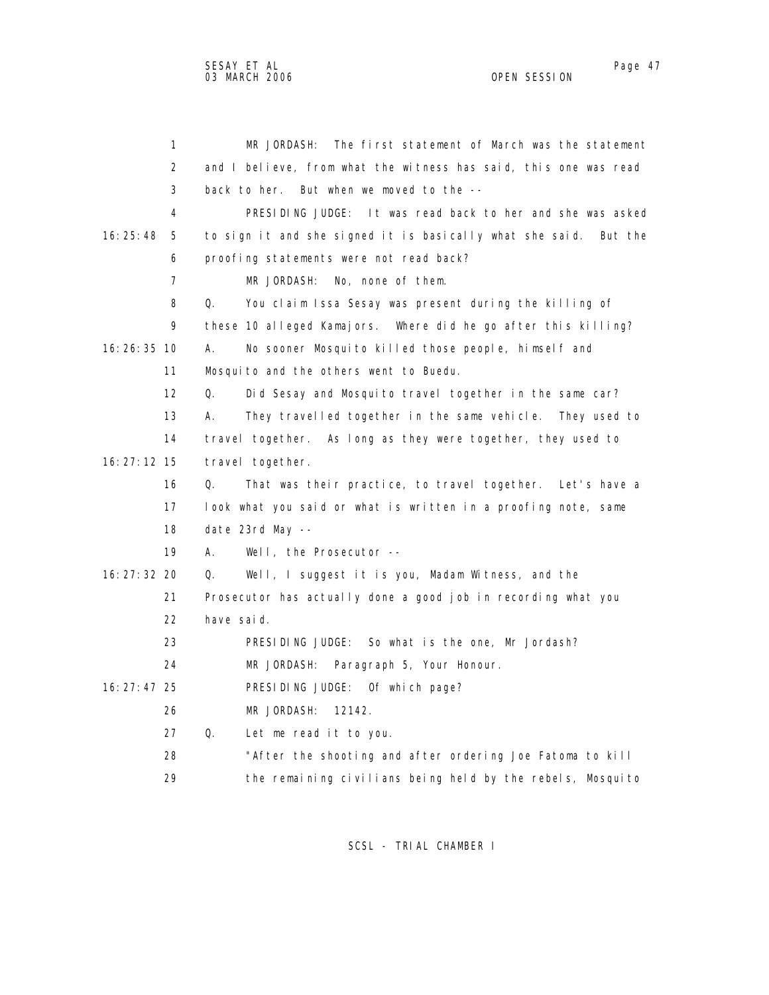| 1               | The first statement of March was the statement<br>MR JORDASH:       |
|-----------------|---------------------------------------------------------------------|
| 2               | and I believe, from what the witness has said, this one was read    |
| 3               | back to her. But when we moved to the --                            |
| 4               | PRESIDING JUDGE: It was read back to her and she was asked          |
| 16:25:48<br>5   | to sign it and she signed it is basically what she said.<br>But the |
| 6               | proofing statements were not read back?                             |
| 7               | MR JORDASH:<br>No, none of them.                                    |
| 8               | Q.<br>You claim Issa Sesay was present during the killing of        |
| 9               | these 10 alleged Kamajors. Where did he go after this killing?      |
| 16:26:35 10     | No sooner Mosquito killed those people, himself and<br>А.           |
| 11              | Mosquito and the others went to Buedu.                              |
| 12              | Q.<br>Did Sesay and Mosquito travel together in the same car?       |
| 13              | They travelled together in the same vehicle. They used to<br>А.     |
| 14              | travel together. As long as they were together, they used to        |
| $16: 27: 12$ 15 | travel together.                                                    |
| 16              | That was their practice, to travel together. Let's have a<br>Q.     |
| 17              | look what you said or what is written in a proofing note, same      |
| 18              | date 23rd May --                                                    |
| 19              | Well, the Prosecutor --<br>А.                                       |
| 16: 27: 32 20   | Well, I suggest it is you, Madam Witness, and the<br>Q.             |
| 21              | Prosecutor has actually done a good job in recording what you       |
| 22              | have said.                                                          |
| 23              | PRESIDING JUDGE: So what is the one, Mr Jordash?                    |
| 24              | MR JORDASH:<br>Paragraph 5, Your Honour.                            |
| 16: 27: 47 25   | PRESIDING JUDGE: Of which page?                                     |
| 26              | MR JORDASH:<br>12142.                                               |
| 27              | Q.<br>Let me read it to you.                                        |
| 28              | "After the shooting and after ordering Joe Fatoma to kill           |
| 29              | the remaining civilians being held by the rebels, Mosquito          |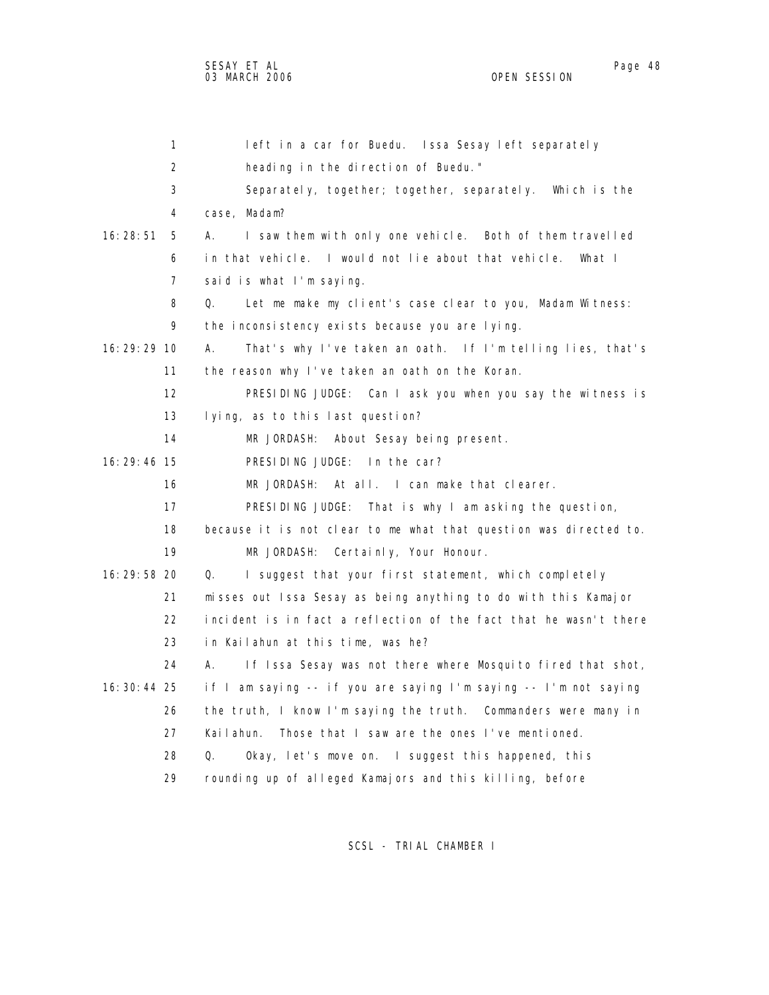| 1             | left in a car for Buedu. Issa Sesay left separately                 |
|---------------|---------------------------------------------------------------------|
| 2             | heading in the direction of Buedu."                                 |
| 3             | Separately, together; together, separately. Which is the            |
| 4             | case, Madam?                                                        |
| 16:28:51<br>5 | I saw them with only one vehicle. Both of them travelled<br>А.      |
| 6             | in that vehicle. I would not lie about that vehicle.<br>What I      |
| 7             | said is what I'm saying.                                            |
| 8             | Q.<br>Let me make my client's case clear to you, Madam Witness:     |
| 9             | the inconsistency exists because you are lying.                     |
| 16: 29: 29 10 | That's why I've taken an oath. If I'm telling lies, that's<br>А.    |
| 11            | the reason why I've taken an oath on the Koran.                     |
| 12            | PRESIDING JUDGE: Can I ask you when you say the witness is          |
| 13            | lying, as to this last question?                                    |
| 14            | MR JORDASH:<br>About Sesay being present.                           |
| 16:29:46 15   | PRESIDING JUDGE: In the car?                                        |
| 16            | MR JORDASH: At all. I can make that clearer.                        |
| 17            | PRESIDING JUDGE: That is why I am asking the question,              |
| 18            | because it is not clear to me what that question was directed to.   |
| 19            | MR JORDASH: Certainly, Your Honour.                                 |
| 16:29:58 20   | I suggest that your first statement, which completely<br>$\Omega$ . |
| 21            | misses out Issa Sesay as being anything to do with this Kamajor     |
| 22            | incident is in fact a reflection of the fact that he wasn't there   |
| 23            | in Kailahun at this time, was he?                                   |
| 24            | If Issa Sesay was not there where Mosquito fired that shot,<br>А.   |
| 16: 30: 44 25 | if I am saying -- if you are saying I'm saying -- I'm not saying    |
| 26            | the truth, I know I'm saying the truth. Commanders were many in     |
| 27            | Those that I saw are the ones I've mentioned.<br>Kailahun.          |
| 28            | Okay, let's move on. I suggest this happened, this<br>Q.            |
| 29            | rounding up of alleged Kamajors and this killing, before            |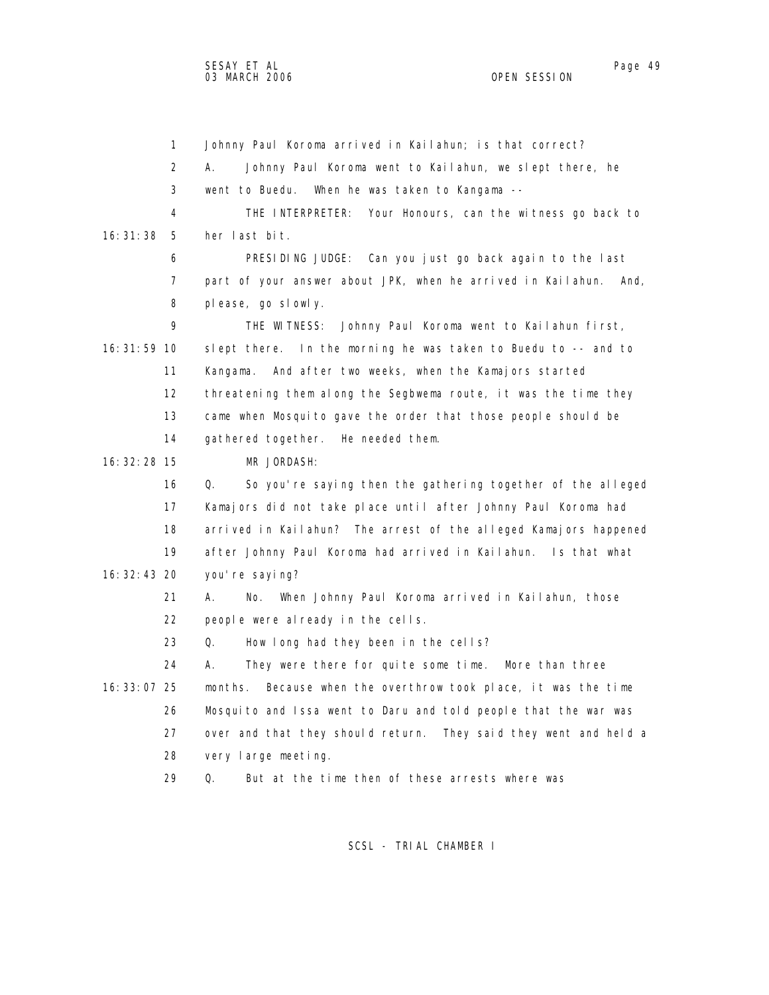1 Johnny Paul Koroma arrived in Kailahun; is that correct? 2 A. Johnny Paul Koroma went to Kailahun, we slept there, he 3 went to Buedu. When he was taken to Kangama -- 4 THE INTERPRETER: Your Honours, can the witness go back to 16:31:38 5 her last bit. 6 PRESIDING JUDGE: Can you just go back again to the last 7 part of your answer about JPK, when he arrived in Kailahun. And, 8 please, go slowly. 9 THE WITNESS: Johnny Paul Koroma went to Kailahun first, 16:31:59 10 slept there. In the morning he was taken to Buedu to -- and to 11 Kangama. And after two weeks, when the Kamajors started 12 threatening them along the Segbwema route, it was the time they 13 came when Mosquito gave the order that those people should be 14 gathered together. He needed them. 16:32:28 15 MR JORDASH: 16 Q. So you're saying then the gathering together of the alleged 17 Kamajors did not take place until after Johnny Paul Koroma had 18 arrived in Kailahun? The arrest of the alleged Kamajors happened 19 after Johnny Paul Koroma had arrived in Kailahun. Is that what 16:32:43 20 you're saying? 21 A. No. When Johnny Paul Koroma arrived in Kailahun, those 22 people were already in the cells. 23 Q. How long had they been in the cells? 24 A. They were there for quite some time. More than three 16:33:07 25 months. Because when the overthrow took place, it was the time 26 Mosquito and Issa went to Daru and told people that the war was 27 over and that they should return. They said they went and held a 28 very large meeting. 29 Q. But at the time then of these arrests where was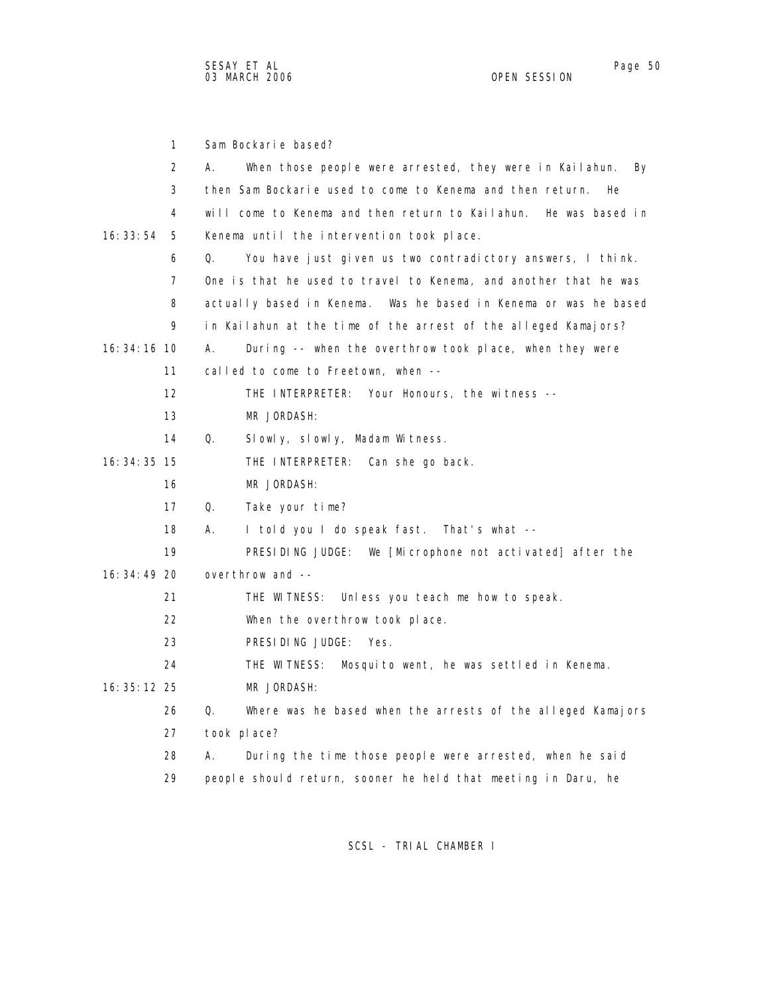1 Sam Bockarie based? 2 A. When those people were arrested, they were in Kailahun. By 3 then Sam Bockarie used to come to Kenema and then return. He 4 will come to Kenema and then return to Kailahun. He was based in 16:33:54 5 Kenema until the intervention took place. 6 Q. You have just given us two contradictory answers, I think. 7 One is that he used to travel to Kenema, and another that he was 8 actually based in Kenema. Was he based in Kenema or was he based 9 in Kailahun at the time of the arrest of the alleged Kamajors? 16:34:16 10 A. During -- when the overthrow took place, when they were 11 called to come to Freetown, when -- 12 THE INTERPRETER: Your Honours, the witness -- 13 MR JORDASH: 14 Q. Slowly, slowly, Madam Witness. 16:34:35 15 THE INTERPRETER: Can she go back. 16 MR JORDASH: 17 Q. Take your time? 18 A. I told you I do speak fast. That's what -- 19 PRESIDING JUDGE: We [Microphone not activated] after the 16:34:49 20 overthrow and -- 21 THE WITNESS: Unless you teach me how to speak. 22 When the overthrow took place. 23 PRESIDING JUDGE: Yes. 24 THE WITNESS: Mosquito went, he was settled in Kenema. 16:35:12 25 MR JORDASH: 26 Q. Where was he based when the arrests of the alleged Kamajors 27 took place? 28 A. During the time those people were arrested, when he said 29 people should return, sooner he held that meeting in Daru, he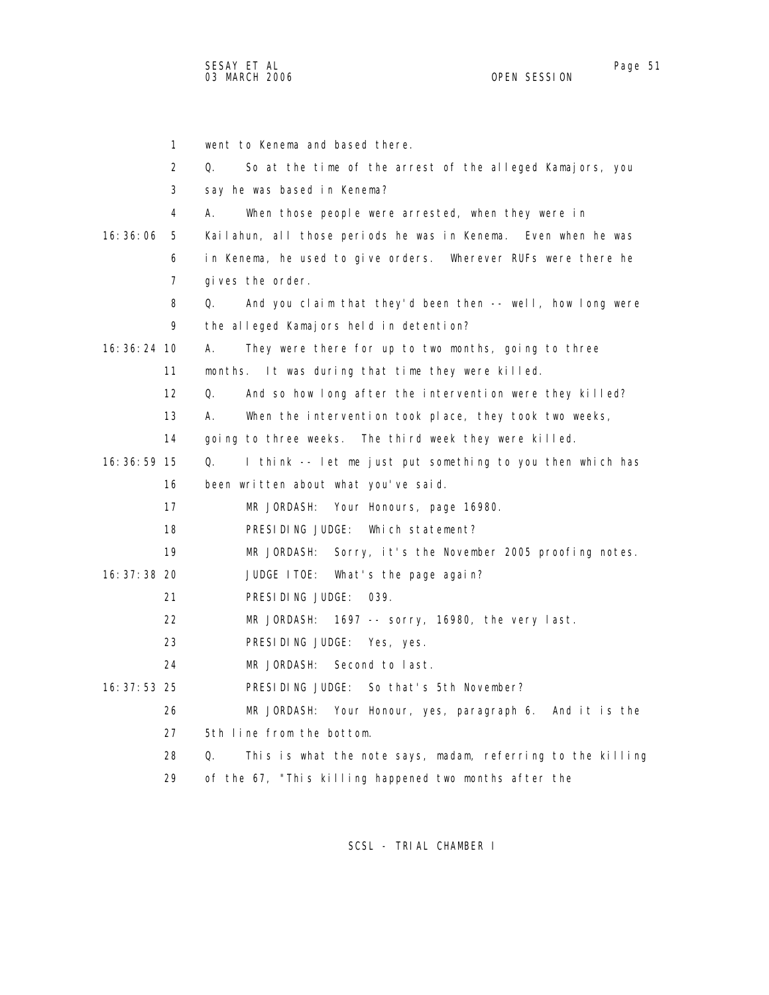1 went to Kenema and based there. 2 Q. So at the time of the arrest of the alleged Kamajors, you 3 say he was based in Kenema? 4 A. When those people were arrested, when they were in 16:36:06 5 Kailahun, all those periods he was in Kenema. Even when he was 6 in Kenema, he used to give orders. Wherever RUFs were there he 7 gives the order. 8 Q. And you claim that they'd been then -- well, how long were 9 the alleged Kamajors held in detention? 16:36:24 10 A. They were there for up to two months, going to three 11 months. It was during that time they were killed. 12 Q. And so how long after the intervention were they killed? 13 A. When the intervention took place, they took two weeks, 14 going to three weeks. The third week they were killed. 16:36:59 15 Q. I think -- let me just put something to you then which has 16 been written about what you've said. 17 MR JORDASH: Your Honours, page 16980. 18 PRESIDING JUDGE: Which statement? 19 MR JORDASH: Sorry, it's the November 2005 proofing notes. 16:37:38 20 JUDGE ITOE: What's the page again? 21 PRESIDING JUDGE: 039. 22 MR JORDASH: 1697 -- sorry, 16980, the very last. 23 PRESIDING JUDGE: Yes, yes. 24 MR JORDASH: Second to last. 16:37:53 25 PRESIDING JUDGE: So that's 5th November? 26 MR JORDASH: Your Honour, yes, paragraph 6. And it is the 27 5th line from the bottom. 28 Q. This is what the note says, madam, referring to the killing 29 of the 67, "This killing happened two months after the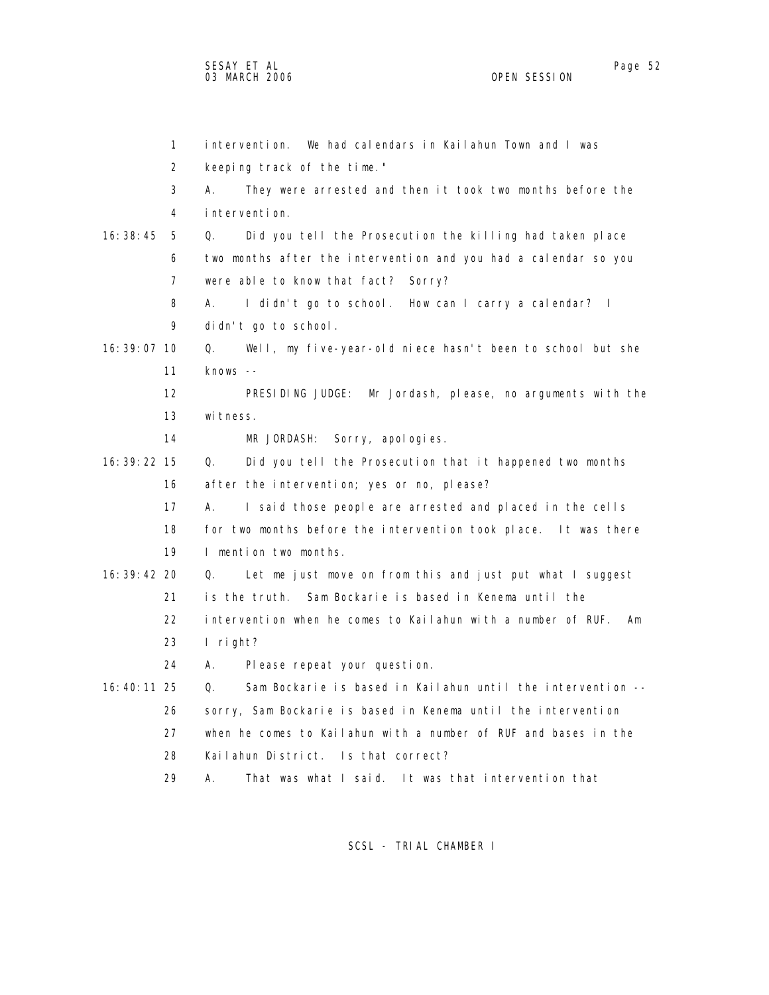1 intervention. We had calendars in Kailahun Town and I was 2 keeping track of the time." 3 A. They were arrested and then it took two months before the 4 intervention. 16:38:45 5 Q. Did you tell the Prosecution the killing had taken place 6 two months after the intervention and you had a calendar so you 7 were able to know that fact? Sorry? 8 A. I didn't go to school. How can I carry a calendar? I 9 didn't go to school. 16:39:07 10 Q. Well, my five-year-old niece hasn't been to school but she 11 knows -- 12 PRESIDING JUDGE: Mr Jordash, please, no arguments with the 13 witness. 14 MR JORDASH: Sorry, apologies. 16:39:22 15 Q. Did you tell the Prosecution that it happened two months 16 after the intervention; yes or no, please? 17 A. I said those people are arrested and placed in the cells 18 for two months before the intervention took place. It was there 19 I mention two months. 16:39:42 20 Q. Let me just move on from this and just put what I suggest 21 is the truth. Sam Bockarie is based in Kenema until the 22 intervention when he comes to Kailahun with a number of RUF. Am 23 I right? 24 A. Please repeat your question. 16:40:11 25 Q. Sam Bockarie is based in Kailahun until the intervention -- 26 sorry, Sam Bockarie is based in Kenema until the intervention 27 when he comes to Kailahun with a number of RUF and bases in the 28 Kailahun District. Is that correct? 29 A. That was what I said. It was that intervention that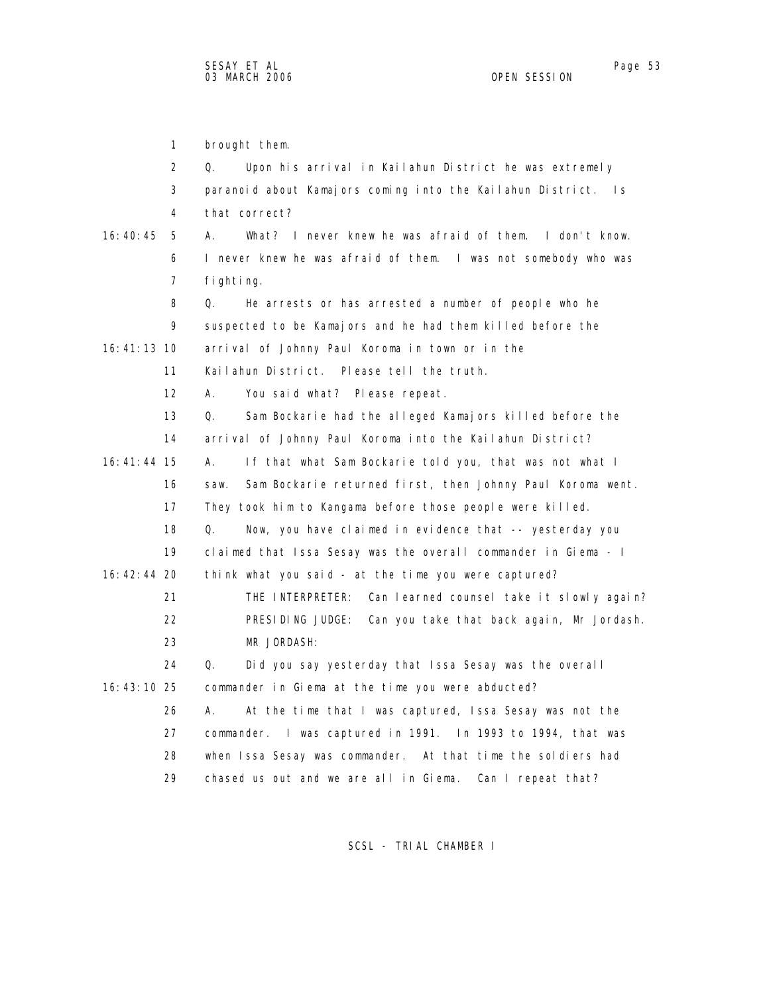1 brought them. 2 Q. Upon his arrival in Kailahun District he was extremely 3 paranoid about Kamajors coming into the Kailahun District. Is 4 that correct? 16:40:45 5 A. What? I never knew he was afraid of them. I don't know. 6 I never knew he was afraid of them. I was not somebody who was 7 fighting. 8 Q. He arrests or has arrested a number of people who he 9 suspected to be Kamajors and he had them killed before the 16:41:13 10 arrival of Johnny Paul Koroma in town or in the 11 Kailahun District. Please tell the truth. 12 A. You said what? Please repeat. 13 Q. Sam Bockarie had the alleged Kamajors killed before the 14 arrival of Johnny Paul Koroma into the Kailahun District? 16:41:44 15 A. If that what Sam Bockarie told you, that was not what I 16 saw. Sam Bockarie returned first, then Johnny Paul Koroma went. 17 They took him to Kangama before those people were killed. 18 Q. Now, you have claimed in evidence that -- yesterday you 19 claimed that Issa Sesay was the overall commander in Giema - I 16:42:44 20 think what you said - at the time you were captured? 21 THE INTERPRETER: Can learned counsel take it slowly again? 22 PRESIDING JUDGE: Can you take that back again, Mr Jordash. 23 MR JORDASH: 24 Q. Did you say yesterday that Issa Sesay was the overall 16:43:10 25 commander in Giema at the time you were abducted? 26 A. At the time that I was captured, Issa Sesay was not the 27 commander. I was captured in 1991. In 1993 to 1994, that was 28 when Issa Sesay was commander. At that time the soldiers had 29 chased us out and we are all in Giema. Can I repeat that?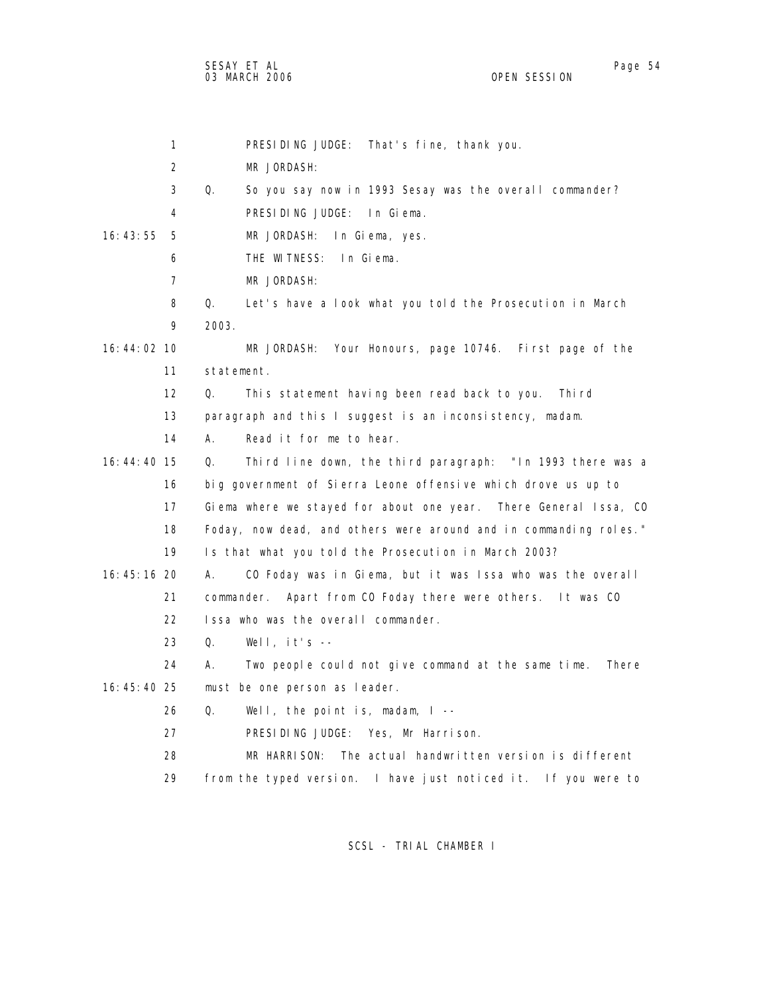SESAY ET AL Page 54 03 MARCH 2006 OPEN SESSION

|             | 1  |            | That's fine, thank you.<br>PRESIDING JUDGE:                       |
|-------------|----|------------|-------------------------------------------------------------------|
|             | 2  |            | MR JORDASH:                                                       |
|             | 3  | Q.         | So you say now in 1993 Sesay was the overall commander?           |
|             | 4  |            | PRESIDING JUDGE: In Giema.                                        |
| 16: 43: 55  | 5  |            | MR JORDASH:<br>In Giema, yes.                                     |
|             | 6  |            | THE WITNESS:<br>In Giema.                                         |
|             | 7  |            | MR JORDASH:                                                       |
|             | 8  | Q.         | Let's have a look what you told the Prosecution in March          |
|             | 9  | 2003.      |                                                                   |
| 16:44:02 10 |    |            | MR JORDASH: Your Honours, page 10746. First page of the           |
|             | 11 | statement. |                                                                   |
|             | 12 | Q.         | This statement having been read back to you.<br>Thi rd            |
|             | 13 |            | paragraph and this I suggest is an inconsistency, madam.          |
|             | 14 | А.         | Read it for me to hear.                                           |
| 16:44:40 15 |    | Q.         | Third line down, the third paragraph: "In 1993 there was a        |
|             | 16 |            | big government of Sierra Leone offensive which drove us up to     |
|             | 17 |            | Giema where we stayed for about one year. There General Issa, CO  |
|             | 18 |            | Foday, now dead, and others were around and in commanding roles." |
|             | 19 |            | Is that what you told the Prosecution in March 2003?              |
| 16:45:16 20 |    | А.         | CO Foday was in Giema, but it was Issa who was the overall        |
|             | 21 |            | commander. Apart from CO Foday there were others. It was CO       |
|             | 22 |            | Issa who was the overall commander.                               |
|             | 23 | Q.         | Well, $it's$ --                                                   |
|             | 24 | А.         | Two people could not give command at the same time.<br>There      |
| 16:45:40 25 |    |            | must be one person as leader.                                     |
|             | 26 | Q.         | Well, the point is, madam, $I$ --                                 |
|             | 27 |            | PRESIDING JUDGE: Yes, Mr Harrison.                                |
|             | 28 |            | MR HARRISON:<br>The actual handwritten version is different       |
|             | 29 |            | from the typed version. I have just noticed it. If you were to    |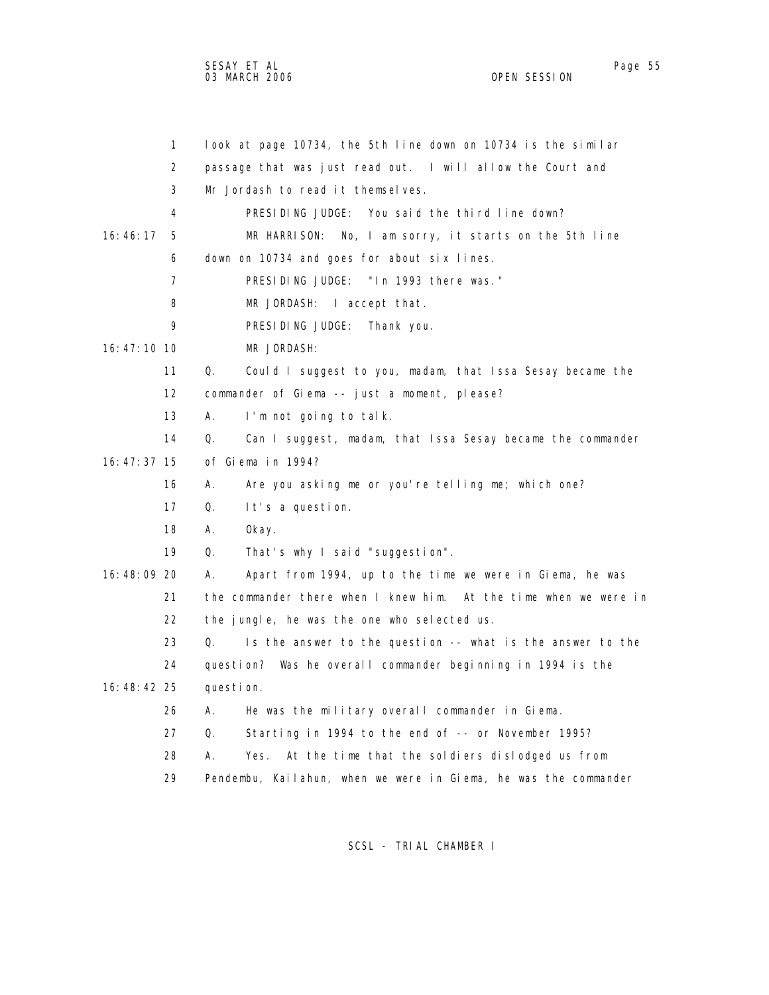|                 | $\mathbf{1}$   | look at page 10734, the 5th line down on 10734 is the similar    |
|-----------------|----------------|------------------------------------------------------------------|
|                 | 2              | passage that was just read out. I will allow the Court and       |
|                 | 3              | Mr Jordash to read it themselves.                                |
|                 | 4              | PRESIDING JUDGE: You said the third line down?                   |
| 16:46:17        | 5              | No, I am sorry, it starts on the 5th line<br>MR HARRISON:        |
|                 | 6              | down on 10734 and goes for about six lines.                      |
|                 | $\overline{7}$ | PRESIDING JUDGE: "In 1993 there was."                            |
|                 | 8              | MR JORDASH: I accept that.                                       |
|                 | 9              | PRESIDING JUDGE: Thank you.                                      |
| $16: 47: 10$ 10 |                | MR JORDASH:                                                      |
|                 | 11             | Q.<br>Could I suggest to you, madam, that Issa Sesay became the  |
|                 | 12             | commander of Giema -- just a moment, please?                     |
|                 | 13             | А.<br>I'm not going to talk.                                     |
|                 | 14             | Q.<br>Can I suggest, madam, that Issa Sesay became the commander |
| $16: 47: 37$ 15 |                | of Giema in 1994?                                                |
|                 | 16             | А.<br>Are you asking me or you're telling me; which one?         |
|                 | 17             | Q.<br>It's a question.                                           |
|                 | 18             | А.<br>0kay.                                                      |
|                 | 19             | That's why I said "suggestion".<br>Q.                            |
| 16:48:09 20     |                | Apart from 1994, up to the time we were in Giema, he was<br>Α.   |
|                 | 21             | the commander there when I knew him. At the time when we were in |
|                 | 22             | the jungle, he was the one who selected us.                      |
|                 | 23             | Is the answer to the question -- what is the answer to the<br>Q. |
|                 | 24             | question? Was he overall commander beginning in 1994 is the      |
| 16:48:42 25     |                | question.                                                        |
|                 | 26             | He was the military overall commander in Giema.<br>А.            |
|                 | 27             | Starting in 1994 to the end of -- or November 1995?<br>Q.        |
|                 | 28             | At the time that the soldiers dislodged us from<br>А.<br>Yes.    |
|                 | 29             | Pendembu, Kailahun, when we were in Giema, he was the commander  |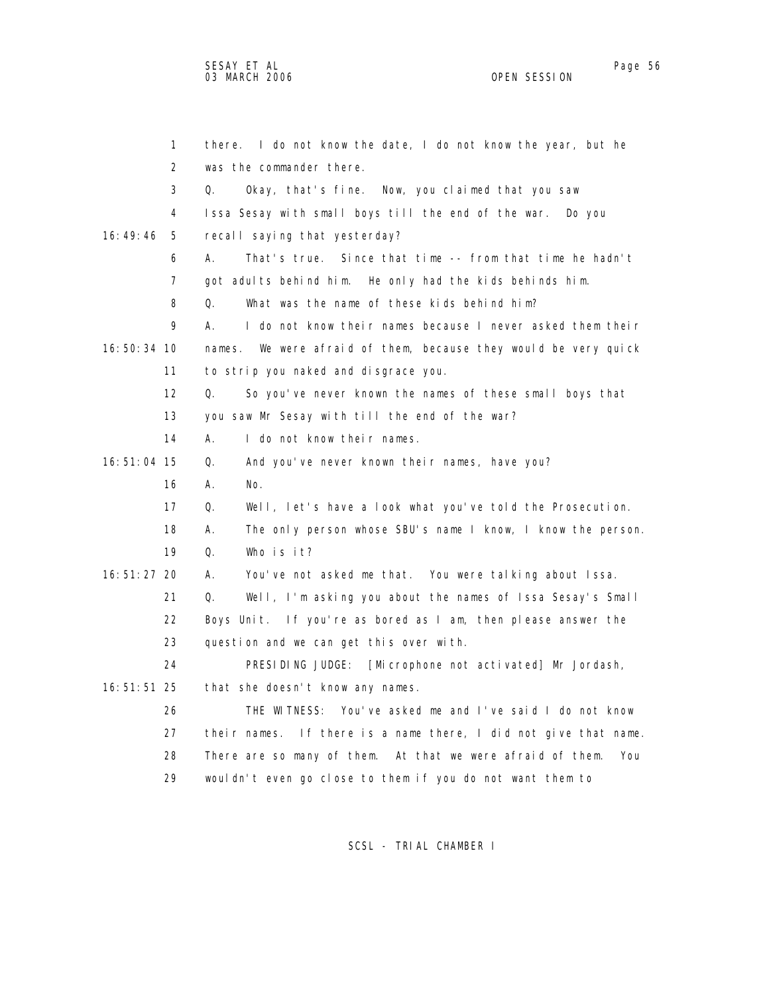|               | $\mathbf{1}$<br>there. | I do not know the date, I do not know the year, but he            |
|---------------|------------------------|-------------------------------------------------------------------|
|               | 2                      | was the commander there.                                          |
|               | 3<br>Q.                | Okay, that's fine. Now, you claimed that you saw                  |
|               | 4                      | Issa Sesay with small boys till the end of the war. Do you        |
| 16:49:46      | 5                      | recall saying that yesterday?                                     |
|               | 6<br>А.                | That's true. Since that time -- from that time he hadn't          |
|               | $\overline{7}$         | got adults behind him. He only had the kids behinds him.          |
|               | 8<br>Q.                | What was the name of these kids behind him?                       |
|               | 9<br>А.                | I do not know their names because I never asked them their        |
| 16:50:34 10   | names.                 | We were afraid of them, because they would be very quick          |
| 11            |                        | to strip you naked and disgrace you.                              |
| 12            | Q.                     | So you've never known the names of these small boys that          |
| 13            |                        | you saw Mr Sesay with till the end of the war?                    |
| 14            | А.                     | I do not know their names.                                        |
| 16: 51: 04 15 | Q.                     | And you've never known their names, have you?                     |
| 16            | А.                     | No.                                                               |
| 17            | Q.                     | Well, let's have a look what you've told the Prosecution.         |
| 18            | А.                     | The only person whose SBU's name I know, I know the person.       |
| 19            | Q.                     | Who is it?                                                        |
| $16:51:27$ 20 | А.                     | You've not asked me that. You were talking about Issa.            |
| 21            | Q.                     | Well, I'm asking you about the names of Issa Sesay's Small        |
| 22            |                        | Boys Unit. If you're as bored as I am, then please answer the     |
| 23            |                        | question and we can get this over with.                           |
| 24            |                        | PRESIDING JUDGE: [Microphone not activated] Mr Jordash,           |
| 16: 51: 51 25 |                        | that she doesn't know any names.                                  |
| 26            |                        | THE WITNESS: You've asked me and I've said I do not know          |
| 27            |                        | their names. If there is a name there, I did not give that name.  |
| 28            |                        | There are so many of them. At that we were afraid of them.<br>You |
| 29            |                        | wouldn't even go close to them if you do not want them to         |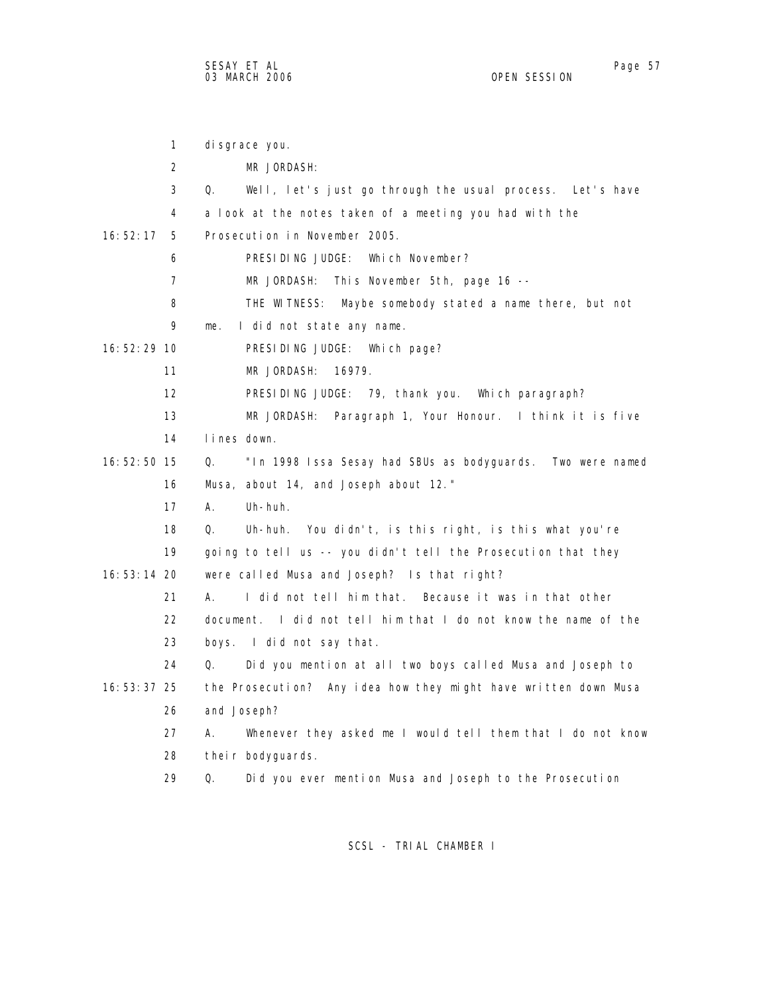1 disgrace you. 2 MR JORDASH: 3 Q. Well, let's just go through the usual process. Let's have 4 a look at the notes taken of a meeting you had with the 16:52:17 5 Prosecution in November 2005. 6 PRESIDING JUDGE: Which November? 7 MR JORDASH: This November 5th, page 16 -- 8 THE WITNESS: Maybe somebody stated a name there, but not 9 me. I did not state any name. 16:52:29 10 PRESIDING JUDGE: Which page? 11 MR JORDASH: 16979. 12 PRESIDING JUDGE: 79, thank you. Which paragraph? 13 MR JORDASH: Paragraph 1, Your Honour. I think it is five 14 lines down. 16:52:50 15 Q. "In 1998 Issa Sesay had SBUs as bodyguards. Two were named 16 Musa, about 14, and Joseph about 12." 17 A. Uh-huh. 18 Q. Uh-huh. You didn't, is this right, is this what you're 19 going to tell us -- you didn't tell the Prosecution that they 16:53:14 20 were called Musa and Joseph? Is that right? 21 A. I did not tell him that. Because it was in that other 22 document. I did not tell him that I do not know the name of the 23 boys. I did not say that. 24 Q. Did you mention at all two boys called Musa and Joseph to 16:53:37 25 the Prosecution? Any idea how they might have written down Musa 26 and Joseph? 27 A. Whenever they asked me I would tell them that I do not know 28 their bodyguards. 29 Q. Did you ever mention Musa and Joseph to the Prosecution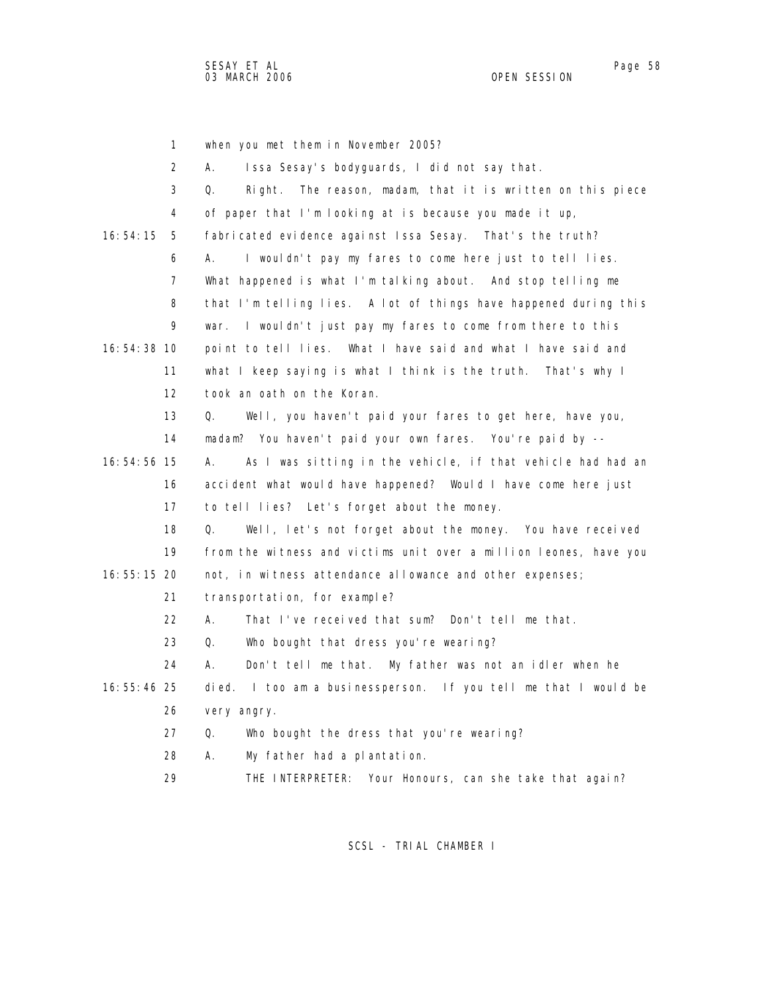1 when you met them in November 2005? 2 A. Issa Sesay's bodyguards, I did not say that. 3 Q. Right. The reason, madam, that it is written on this piece 4 of paper that I'm looking at is because you made it up, 16:54:15 5 fabricated evidence against Issa Sesay. That's the truth? 6 A. I wouldn't pay my fares to come here just to tell lies. 7 What happened is what I'm talking about. And stop telling me 8 that I'm telling lies. A lot of things have happened during this 9 war. I wouldn't just pay my fares to come from there to this 16:54:38 10 point to tell lies. What I have said and what I have said and 11 what I keep saying is what I think is the truth. That's why I 12 took an oath on the Koran. 13 Q. Well, you haven't paid your fares to get here, have you, 14 madam? You haven't paid your own fares. You're paid by -- 16:54:56 15 A. As I was sitting in the vehicle, if that vehicle had had an 16 accident what would have happened? Would I have come here just 17 to tell lies? Let's forget about the money. 18 Q. Well, let's not forget about the money. You have received 19 from the witness and victims unit over a million leones, have you 16:55:15 20 not, in witness attendance allowance and other expenses; 21 transportation, for example? 22 A. That I've received that sum? Don't tell me that. 23 Q. Who bought that dress you're wearing? 24 A. Don't tell me that. My father was not an idler when he 16:55:46 25 died. I too am a businessperson. If you tell me that I would be 26 very angry. 27 Q. Who bought the dress that you're wearing? 28 A. My father had a plantation. 29 THE INTERPRETER: Your Honours, can she take that again?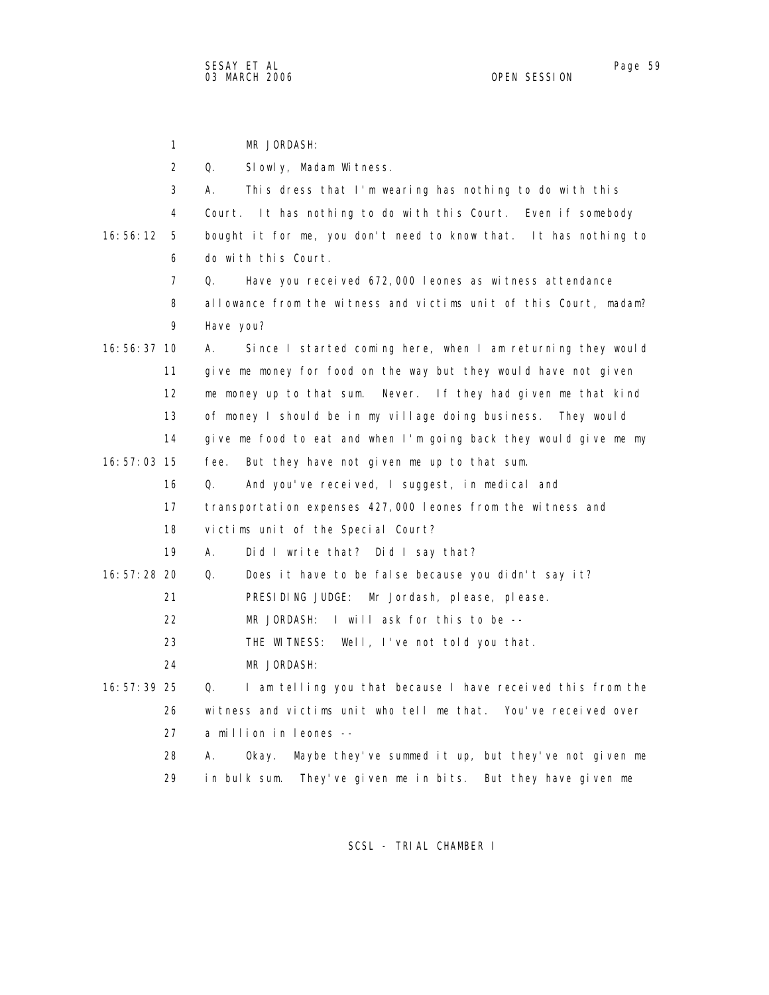1 MR JORDASH: 2 Q. Slowly, Madam Witness. 3 A. This dress that I'm wearing has nothing to do with this 4 Court. It has nothing to do with this Court. Even if somebody 16:56:12 5 bought it for me, you don't need to know that. It has nothing to 6 do with this Court. 7 Q. Have you received 672,000 leones as witness attendance 8 allowance from the witness and victims unit of this Court, madam? 9 Have you? 16:56:37 10 A. Since I started coming here, when I am returning they would 11 give me money for food on the way but they would have not given 12 me money up to that sum. Never. If they had given me that kind 13 of money I should be in my village doing business. They would 14 give me food to eat and when I'm going back they would give me my 16:57:03 15 fee. But they have not given me up to that sum. 16 Q. And you've received, I suggest, in medical and 17 transportation expenses 427,000 leones from the witness and 18 victims unit of the Special Court? 19 A. Did I write that? Did I say that? 16:57:28 20 Q. Does it have to be false because you didn't say it? 21 PRESIDING JUDGE: Mr Jordash, please, please. 22 MR JORDASH: I will ask for this to be -- 23 THE WITNESS: Well, I've not told you that. 24 MR JORDASH: 16:57:39 25 Q. I am telling you that because I have received this from the 26 witness and victims unit who tell me that. You've received over 27 a million in leones -- 28 A. Okay. Maybe they've summed it up, but they've not given me 29 in bulk sum. They've given me in bits. But they have given me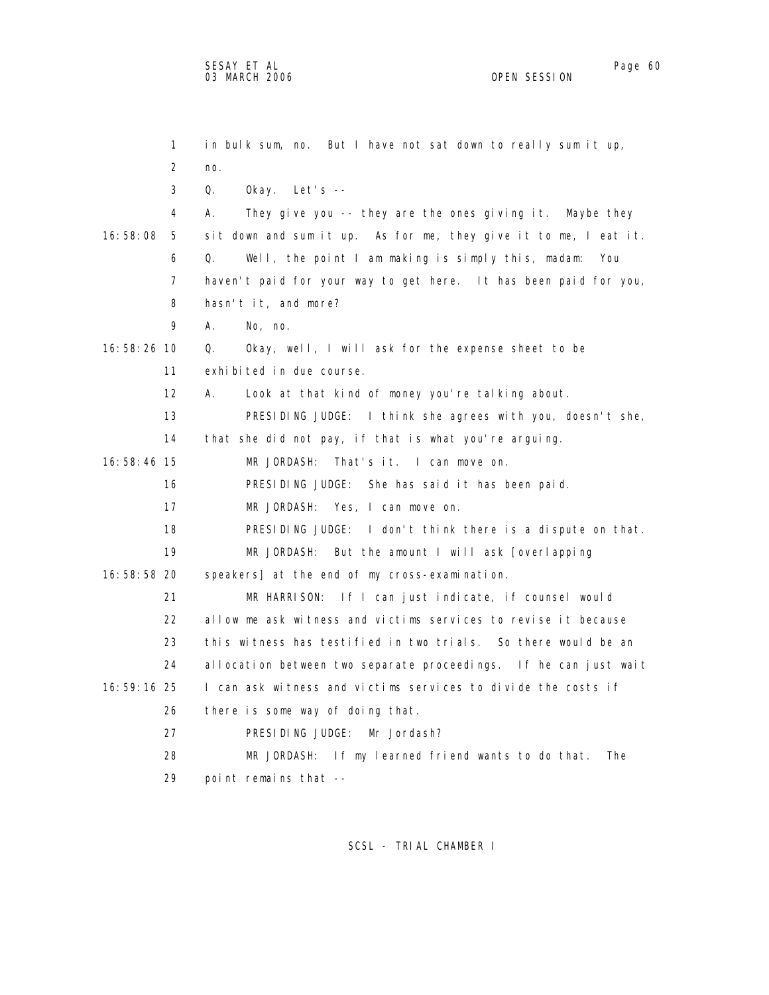1 in bulk sum, no. But I have not sat down to really sum it up, 2 no. 3 Q. Okay. Let's -- 4 A. They give you -- they are the ones giving it. Maybe they 16:58:08 5 sit down and sum it up. As for me, they give it to me, I eat it. 6 Q. Well, the point I am making is simply this, madam: You 7 haven't paid for your way to get here. It has been paid for you, 8 hasn't it, and more? 9 A. No, no. 16:58:26 10 Q. Okay, well, I will ask for the expense sheet to be 11 exhibited in due course. 12 A. Look at that kind of money you're talking about. 13 PRESIDING JUDGE: I think she agrees with you, doesn't she, 14 that she did not pay, if that is what you're arguing. 16:58:46 15 MR JORDASH: That's it. I can move on. 16 PRESIDING JUDGE: She has said it has been paid. 17 MR JORDASH: Yes, I can move on. 18 PRESIDING JUDGE: I don't think there is a dispute on that. 19 MR JORDASH: But the amount I will ask [overlapping 16:58:58 20 speakers] at the end of my cross-examination. 21 MR HARRISON: If I can just indicate, if counsel would 22 allow me ask witness and victims services to revise it because 23 this witness has testified in two trials. So there would be an 24 allocation between two separate proceedings. If he can just wait 16:59:16 25 I can ask witness and victims services to divide the costs if 26 there is some way of doing that. 27 PRESIDING JUDGE: Mr Jordash? 28 MR JORDASH: If my learned friend wants to do that. The 29 point remains that --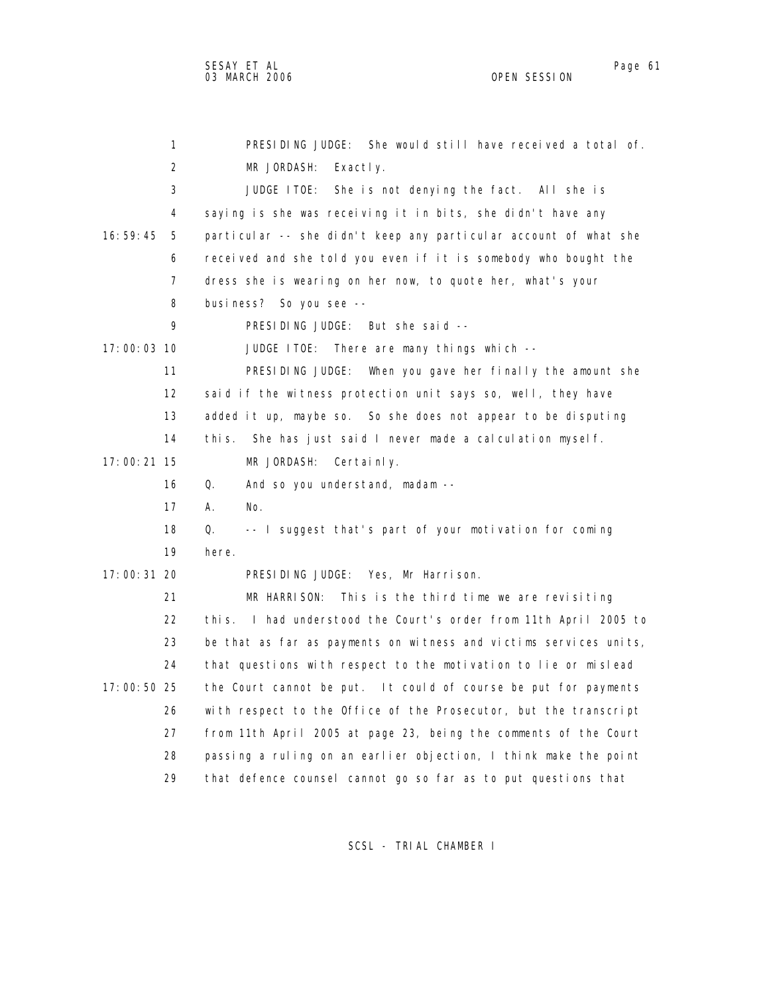1 PRESIDING JUDGE: She would still have received a total of. 2 MR JORDASH: Exactly. 3 JUDGE ITOE: She is not denying the fact. All she is 4 saying is she was receiving it in bits, she didn't have any 16:59:45 5 particular -- she didn't keep any particular account of what she 6 received and she told you even if it is somebody who bought the 7 dress she is wearing on her now, to quote her, what's your 8 business? So you see -- 9 PRESIDING JUDGE: But she said -- 17:00:03 10 JUDGE ITOE: There are many things which -- 11 PRESIDING JUDGE: When you gave her finally the amount she 12 said if the witness protection unit says so, well, they have 13 added it up, maybe so. So she does not appear to be disputing 14 this. She has just said I never made a calculation myself. 17:00:21 15 MR JORDASH: Certainly. 16 Q. And so you understand, madam -- 17 A. No. 18 Q. -- I suggest that's part of your motivation for coming 19 here. 17:00:31 20 PRESIDING JUDGE: Yes, Mr Harrison. 21 MR HARRISON: This is the third time we are revisiting 22 this. I had understood the Court's order from 11th April 2005 to 23 be that as far as payments on witness and victims services units, 24 that questions with respect to the motivation to lie or mislead 17:00:50 25 the Court cannot be put. It could of course be put for payments 26 with respect to the Office of the Prosecutor, but the transcript 27 from 11th April 2005 at page 23, being the comments of the Court 28 passing a ruling on an earlier objection, I think make the point 29 that defence counsel cannot go so far as to put questions that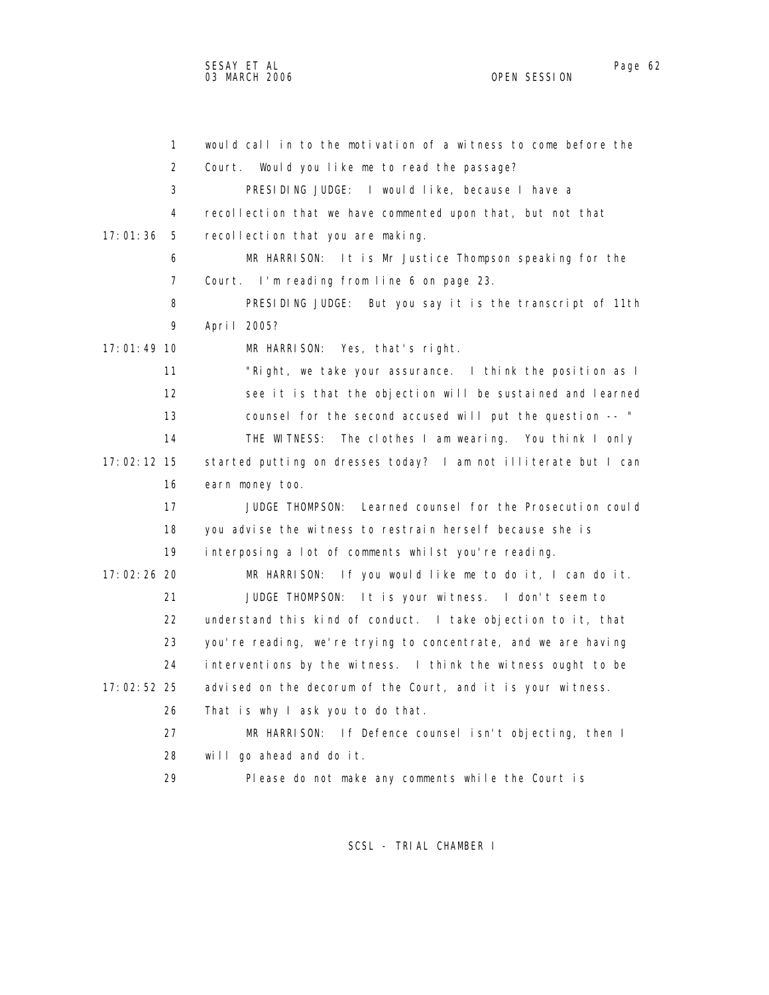1 would call in to the motivation of a witness to come before the 2 Court. Would you like me to read the passage? 3 PRESIDING JUDGE: I would like, because I have a 4 recollection that we have commented upon that, but not that 17:01:36 5 recollection that you are making. 6 MR HARRISON: It is Mr Justice Thompson speaking for the 7 Court. I'm reading from line 6 on page 23. 8 PRESIDING JUDGE: But you say it is the transcript of 11th 9 April 2005? 17:01:49 10 MR HARRISON: Yes, that's right. 11 "Right, we take your assurance. I think the position as I 12 see it is that the objection will be sustained and learned 13 counsel for the second accused will put the question -- " 14 THE WITNESS: The clothes I am wearing. You think I only 17:02:12 15 started putting on dresses today? I am not illiterate but I can 16 earn money too. 17 JUDGE THOMPSON: Learned counsel for the Prosecution could 18 you advise the witness to restrain herself because she is 19 interposing a lot of comments whilst you're reading. 17:02:26 20 MR HARRISON: If you would like me to do it, I can do it. 21 JUDGE THOMPSON: It is your witness. I don't seem to 22 understand this kind of conduct. I take objection to it, that 23 you're reading, we're trying to concentrate, and we are having 24 interventions by the witness. I think the witness ought to be 17:02:52 25 advised on the decorum of the Court, and it is your witness. 26 That is why I ask you to do that. 27 MR HARRISON: If Defence counsel isn't objecting, then I 28 will go ahead and do it. 29 Please do not make any comments while the Court is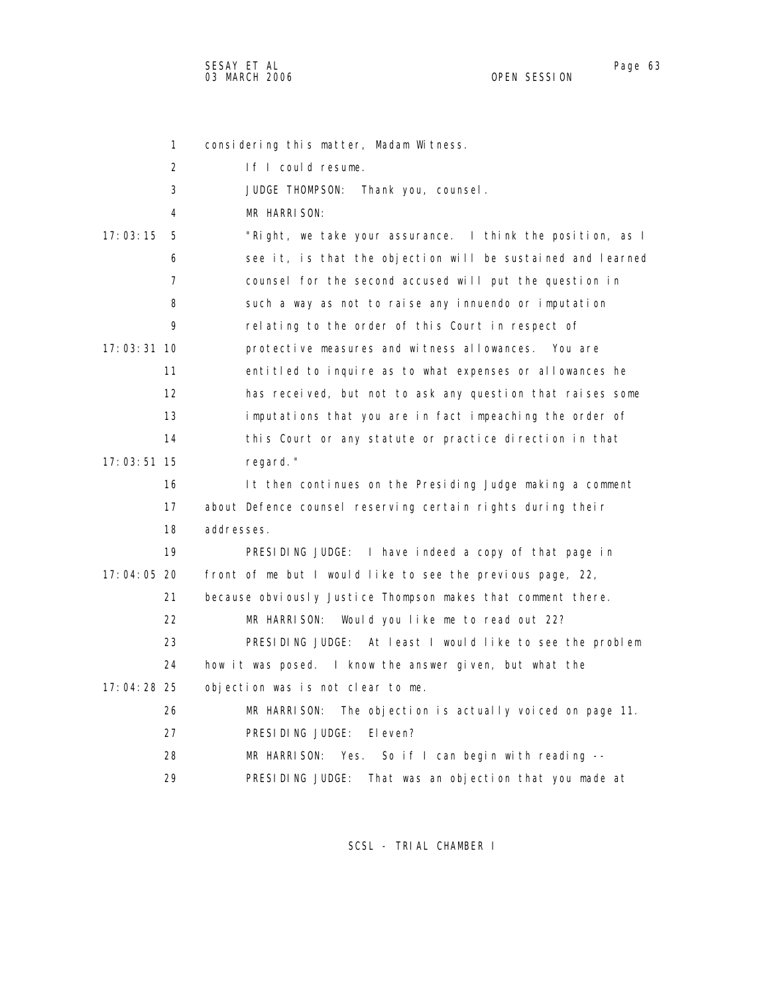SESAY ET AL Page 63 03 MARCH 2006

1 considering this matter, Madam Witness. 2 If I could resume. 3 JUDGE THOMPSON: Thank you, counsel. 4 MR HARRISON: 17:03:15 5 "Right, we take your assurance. I think the position, as I 6 see it, is that the objection will be sustained and learned 7 counsel for the second accused will put the question in 8 such a way as not to raise any innuendo or imputation 9 relating to the order of this Court in respect of 17:03:31 10 protective measures and witness allowances. You are 11 entitled to inquire as to what expenses or allowances he 12 has received, but not to ask any question that raises some 13 imputations that you are in fact impeaching the order of 14 this Court or any statute or practice direction in that 17:03:51 15 regard." 16 It then continues on the Presiding Judge making a comment 17 about Defence counsel reserving certain rights during their 18 addresses. 19 PRESIDING JUDGE: I have indeed a copy of that page in 17:04:05 20 front of me but I would like to see the previous page, 22, 21 because obviously Justice Thompson makes that comment there. 22 MR HARRISON: Would you like me to read out 22? 23 PRESIDING JUDGE: At least I would like to see the problem 24 how it was posed. I know the answer given, but what the 17:04:28 25 objection was is not clear to me. 26 MR HARRISON: The objection is actually voiced on page 11. 27 PRESIDING JUDGE: Eleven? 28 MR HARRISON: Yes. So if I can begin with reading -- 29 PRESIDING JUDGE: That was an objection that you made at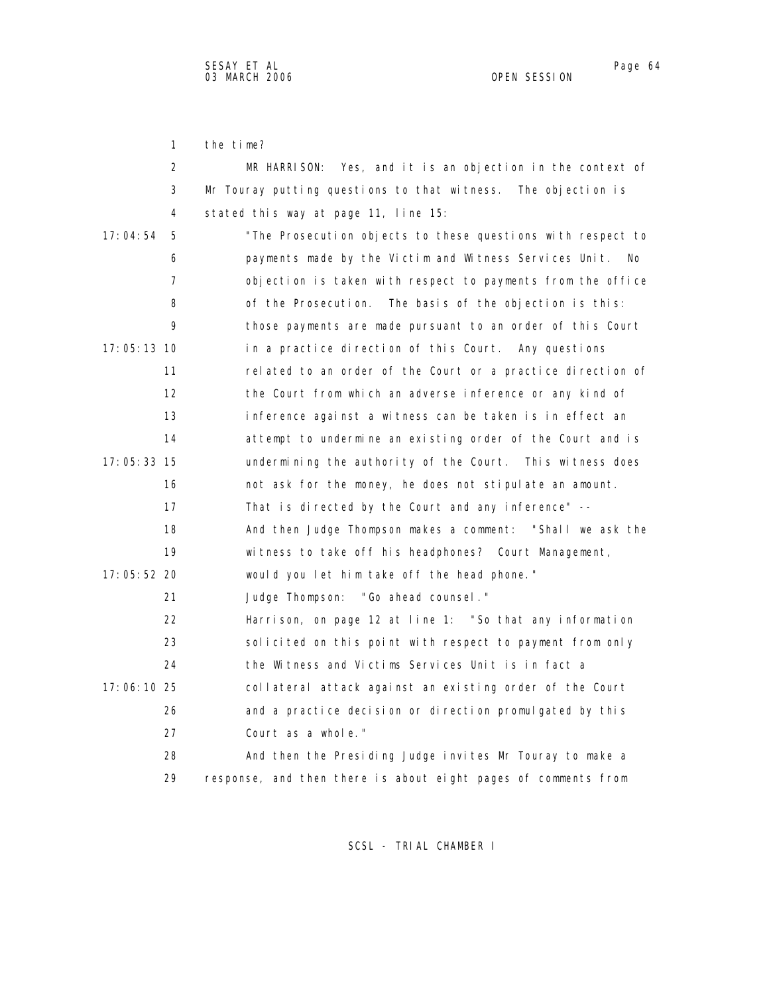1 the time?

| 2             | MR HARRISON: Yes, and it is an objection in the context of     |
|---------------|----------------------------------------------------------------|
| 3             | Mr Touray putting questions to that witness. The objection is  |
| 4             | stated this way at page 11, line 15:                           |
| 17:04:54<br>5 | "The Prosecution objects to these questions with respect to    |
| 6             | payments made by the Victim and Witness Services Unit.<br>No.  |
| 7             | objection is taken with respect to payments from the office    |
| 8             | of the Prosecution. The basis of the objection is this:        |
| 9             | those payments are made pursuant to an order of this Court     |
| $17:05:13$ 10 | in a practice direction of this Court. Any questions           |
| 11            | related to an order of the Court or a practice direction of    |
| 12            | the Court from which an adverse inference or any kind of       |
| 13            | inference against a witness can be taken is in effect an       |
| 14            | attempt to undermine an existing order of the Court and is     |
| $17:05:33$ 15 | undermining the authority of the Court. This witness does      |
| 16            | not ask for the money, he does not stipulate an amount.        |
| 17            | That is directed by the Court and any inference" --            |
| 18            | And then Judge Thompson makes a comment: "Shall we ask the     |
| 19            | witness to take off his headphones? Court Management,          |
| 17:05:52 20   | would you let him take off the head phone."                    |
| 21            | Judge Thompson: "Go ahead counsel."                            |
| 22            | Harrison, on page 12 at line 1: "So that any information       |
| 23            | solicited on this point with respect to payment from only      |
| 24            | the Witness and Victims Services Unit is in fact a             |
| 17:06:10 25   | collateral attack against an existing order of the Court       |
| 26            | and a practice decision or direction promulgated by this       |
| 27            | Court as a whole."                                             |
| 28            | And then the Presiding Judge invites Mr Touray to make a       |
| 29            | response, and then there is about eight pages of comments from |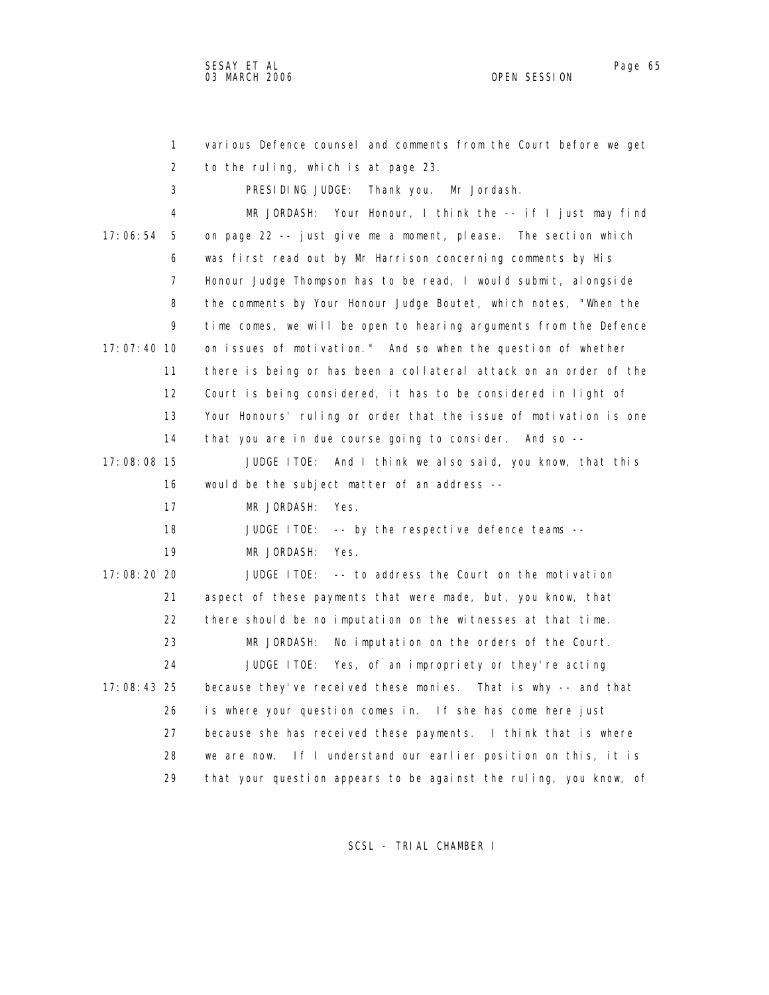1 various Defence counsel and comments from the Court before we get 2 to the ruling, which is at page 23. 3 PRESIDING JUDGE: Thank you. Mr Jordash. 4 MR JORDASH: Your Honour, I think the -- if I just may find 17:06:54 5 on page 22 -- just give me a moment, please. The section which 6 was first read out by Mr Harrison concerning comments by His 7 Honour Judge Thompson has to be read, I would submit, alongside 8 the comments by Your Honour Judge Boutet, which notes, "When the 9 time comes, we will be open to hearing arguments from the Defence 17:07:40 10 on issues of motivation." And so when the question of whether 11 there is being or has been a collateral attack on an order of the 12 Court is being considered, it has to be considered in light of 13 Your Honours' ruling or order that the issue of motivation is one 14 that you are in due course going to consider. And so -- 17:08:08 15 JUDGE ITOE: And I think we also said, you know, that this 16 would be the subject matter of an address -- 17 MR JORDASH: Yes. 18 JUDGE ITOE: -- by the respective defence teams -- 19 MR JORDASH: Yes. 17:08:20 20 JUDGE ITOE: -- to address the Court on the motivation 21 aspect of these payments that were made, but, you know, that 22 there should be no imputation on the witnesses at that time. 23 MR JORDASH: No imputation on the orders of the Court. 24 JUDGE ITOE: Yes, of an impropriety or they're acting 17:08:43 25 because they've received these monies. That is why -- and that 26 is where your question comes in. If she has come here just 27 because she has received these payments. I think that is where 28 we are now. If I understand our earlier position on this, it is 29 that your question appears to be against the ruling, you know, of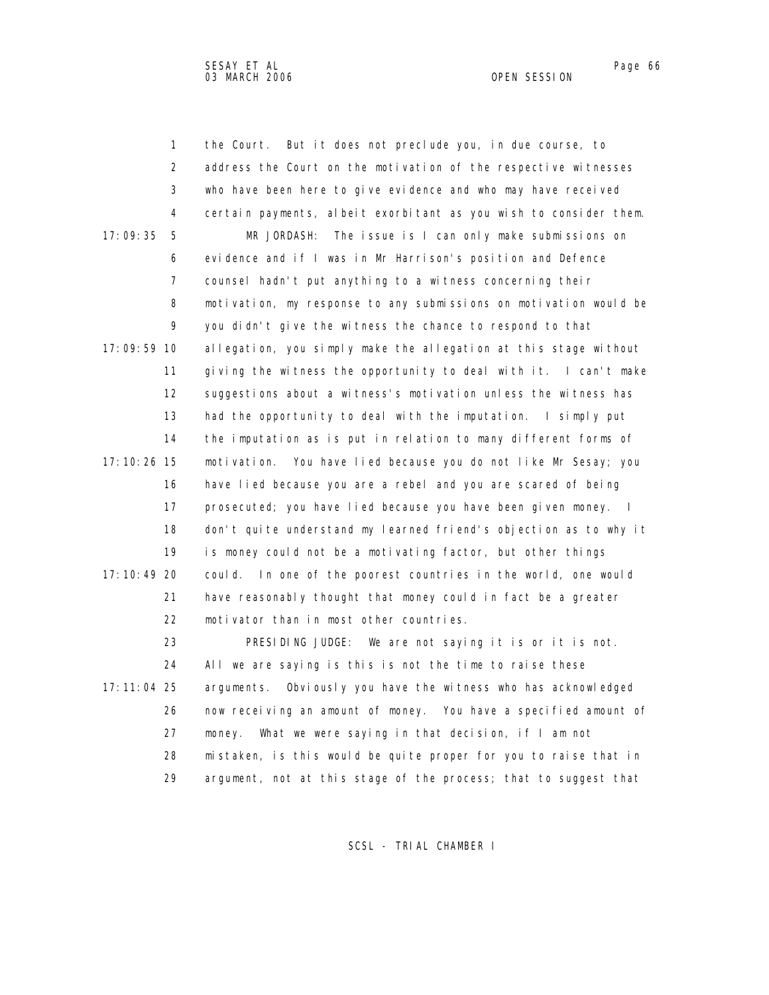1 the Court. But it does not preclude you, in due course, to 2 address the Court on the motivation of the respective witnesses 3 who have been here to give evidence and who may have received 4 certain payments, albeit exorbitant as you wish to consider them. 17:09:35 5 MR JORDASH: The issue is I can only make submissions on 6 evidence and if I was in Mr Harrison's position and Defence 7 counsel hadn't put anything to a witness concerning their 8 motivation, my response to any submissions on motivation would be 9 you didn't give the witness the chance to respond to that 17:09:59 10 allegation, you simply make the allegation at this stage without 11 giving the witness the opportunity to deal with it. I can't make 12 suggestions about a witness's motivation unless the witness has 13 had the opportunity to deal with the imputation. I simply put 14 the imputation as is put in relation to many different forms of 17:10:26 15 motivation. You have lied because you do not like Mr Sesay; you 16 have lied because you are a rebel and you are scared of being 17 prosecuted; you have lied because you have been given money. I 18 don't quite understand my learned friend's objection as to why it 19 is money could not be a motivating factor, but other things 17:10:49 20 could. In one of the poorest countries in the world, one would 21 have reasonably thought that money could in fact be a greater 22 motivator than in most other countries. 23 PRESIDING JUDGE: We are not saying it is or it is not. 24 All we are saying is this is not the time to raise these 17:11:04 25 arguments. Obviously you have the witness who has acknowledged 26 now receiving an amount of money. You have a specified amount of 27 money. What we were saying in that decision, if I am not 28 mistaken, is this would be quite proper for you to raise that in

SCSL - TRIAL CHAMBER I

29 argument, not at this stage of the process; that to suggest that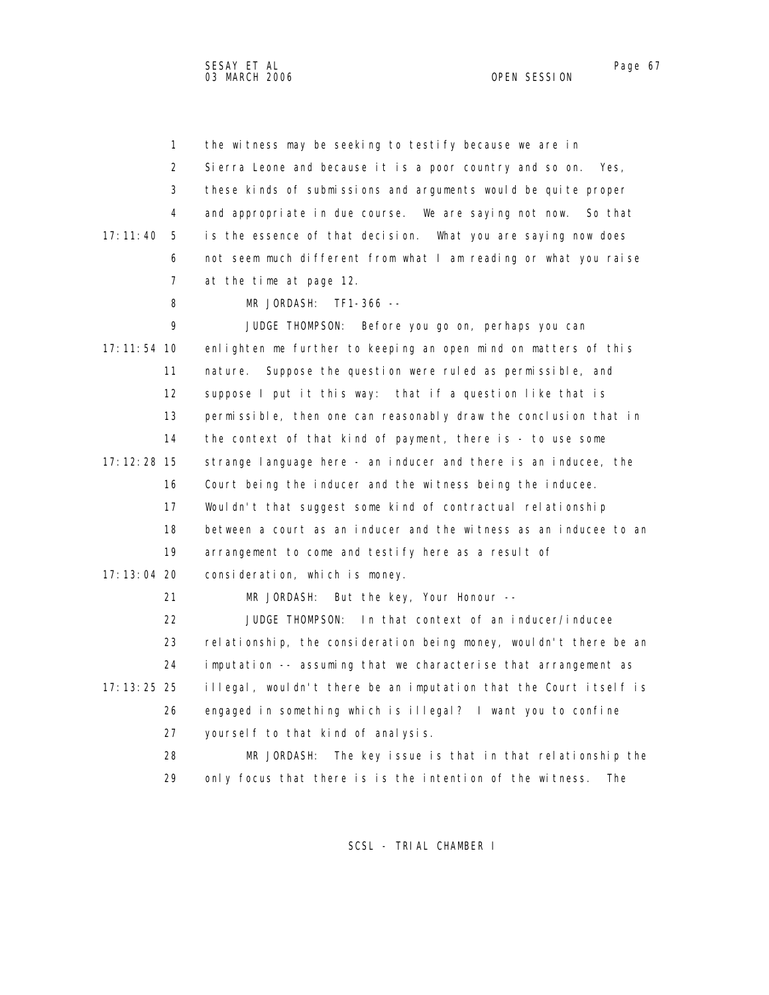1 the witness may be seeking to testify because we are in 2 Sierra Leone and because it is a poor country and so on. Yes, 3 these kinds of submissions and arguments would be quite proper 4 and appropriate in due course. We are saying not now. So that 17:11:40 5 is the essence of that decision. What you are saying now does 6 not seem much different from what I am reading or what you raise 7 at the time at page 12. 8 MR JORDASH: TF1-366 -- 9 JUDGE THOMPSON: Before you go on, perhaps you can 17:11:54 10 enlighten me further to keeping an open mind on matters of this 11 nature. Suppose the question were ruled as permissible, and 12 suppose I put it this way: that if a question like that is 13 permissible, then one can reasonably draw the conclusion that in 14 the context of that kind of payment, there is - to use some 17:12:28 15 strange language here - an inducer and there is an inducee, the 16 Court being the inducer and the witness being the inducee. 17 Wouldn't that suggest some kind of contractual relationship 18 between a court as an inducer and the witness as an inducee to an 19 arrangement to come and testify here as a result of 17:13:04 20 consideration, which is money. 21 MR JORDASH: But the key, Your Honour -- 22 JUDGE THOMPSON: In that context of an inducer/inducee 23 relationship, the consideration being money, wouldn't there be an 24 imputation -- assuming that we characterise that arrangement as 17:13:25 25 illegal, wouldn't there be an imputation that the Court itself is 26 engaged in something which is illegal? I want you to confine 27 yourself to that kind of analysis. 28 MR JORDASH: The key issue is that in that relationship the 29 only focus that there is is the intention of the witness. The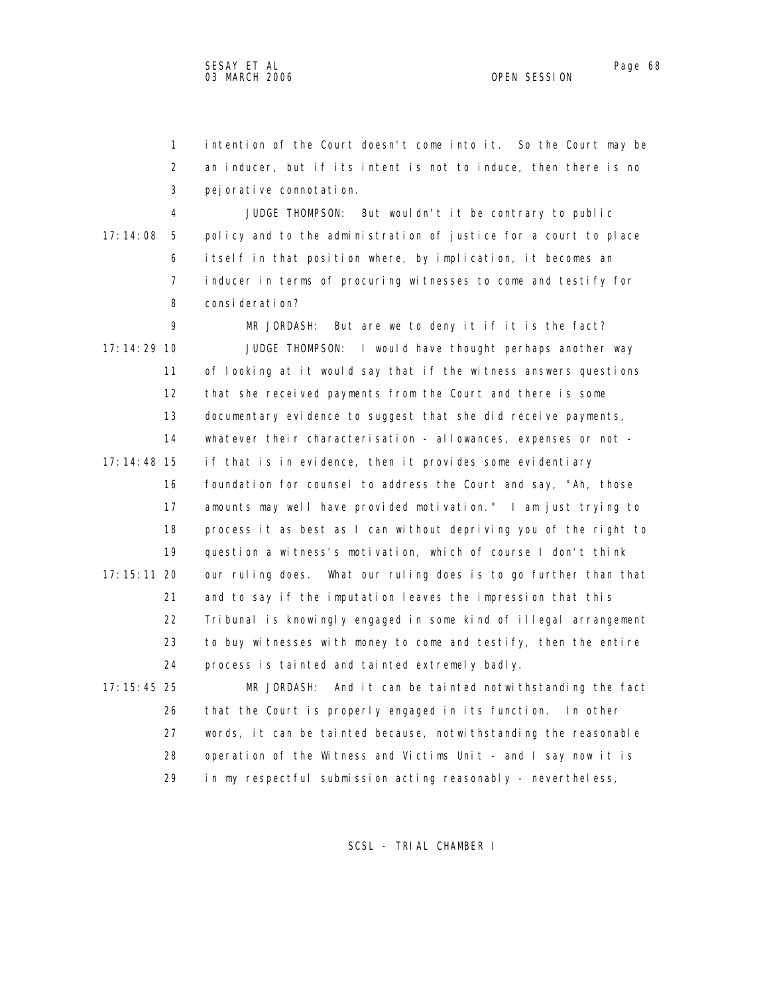1 intention of the Court doesn't come into it. So the Court may be 2 an inducer, but if its intent is not to induce, then there is no 3 pejorative connotation.

 4 JUDGE THOMPSON: But wouldn't it be contrary to public 17:14:08 5 policy and to the administration of justice for a court to place 6 itself in that position where, by implication, it becomes an 7 inducer in terms of procuring witnesses to come and testify for 8 consideration?

 9 MR JORDASH: But are we to deny it if it is the fact? 17:14:29 10 JUDGE THOMPSON: I would have thought perhaps another way 11 of looking at it would say that if the witness answers questions 12 that she received payments from the Court and there is some 13 documentary evidence to suggest that she did receive payments, 14 whatever their characterisation - allowances, expenses or not - 17:14:48 15 if that is in evidence, then it provides some evidentiary 16 foundation for counsel to address the Court and say, "Ah, those 17 amounts may well have provided motivation." I am just trying to 18 process it as best as I can without depriving you of the right to 19 question a witness's motivation, which of course I don't think 17:15:11 20 our ruling does. What our ruling does is to go further than that 21 and to say if the imputation leaves the impression that this 22 Tribunal is knowingly engaged in some kind of illegal arrangement 23 to buy witnesses with money to come and testify, then the entire 24 process is tainted and tainted extremely badly.

 17:15:45 25 MR JORDASH: And it can be tainted notwithstanding the fact 26 that the Court is properly engaged in its function. In other 27 words, it can be tainted because, notwithstanding the reasonable 28 operation of the Witness and Victims Unit - and I say now it is 29 in my respectful submission acting reasonably - nevertheless,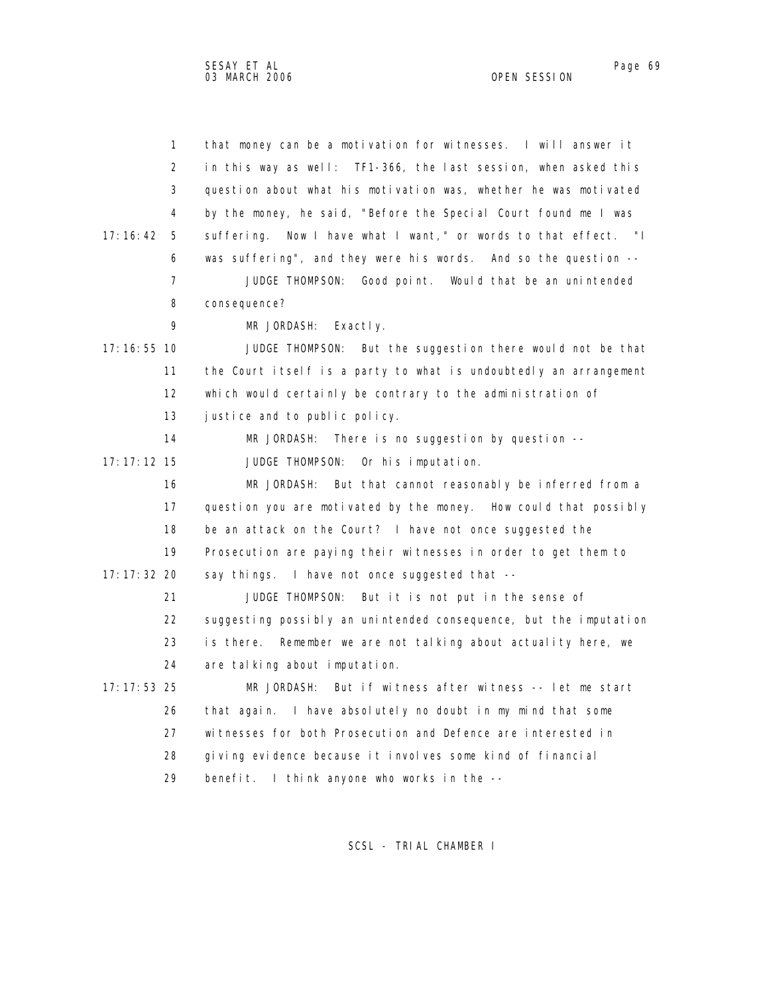| $\mathbf{1}$    | that money can be a motivation for witnesses. I will answer it     |
|-----------------|--------------------------------------------------------------------|
| 2               | in this way as well: TF1-366, the last session, when asked this    |
| 3               | question about what his motivation was, whether he was motivated   |
| 4               | by the money, he said, "Before the Special Court found me I was    |
| 17: 16: 42<br>5 | Now I have what I want," or words to that effect. "I<br>suffering. |
| 6               | was suffering", and they were his words. And so the question --    |
| 7               | Good point. Would that be an unintended<br>JUDGE THOMPSON:         |
| 8               | consequence?                                                       |
| 9               | MR JORDASH:<br>Exactly.                                            |
| 17: 16: 55 10   | JUDGE THOMPSON: But the suggestion there would not be that         |
| 11              | the Court itself is a party to what is undoubtedly an arrangement  |
| 12              | which would certainly be contrary to the administration of         |
| 13              | justice and to public policy.                                      |
| 14              | MR JORDASH:<br>There is no suggestion by question $-$ -            |
| $17:17:12$ 15   | JUDGE THOMPSON:<br>Or his imputation.                              |
| 16              | MR JORDASH:<br>But that cannot reasonably be inferred from a       |
| 17              | question you are motivated by the money. How could that possibly   |
| 18              | be an attack on the Court? I have not once suggested the           |
| 19              | Prosecution are paying their witnesses in order to get them to     |
| 17: 17: 32 20   | say things. I have not once suggested that --                      |
| 21              | JUDGE THOMPSON:<br>But it is not put in the sense of               |
| 22              | suggesting possibly an unintended consequence, but the imputation  |
| 23              | is there.  Remember we are not talking about actuality here, we    |
| 24              | are talking about imputation.                                      |
| 17: 17: 53 25   | But if witness after witness -- let me start<br>MR JORDASH:        |
| 26              | that again. I have absolutely no doubt in my mind that some        |
| 27              | witnesses for both Prosecution and Defence are interested in       |
| 28              | giving evidence because it involves some kind of financial         |
| 29              | benefit. I think anyone who works in the --                        |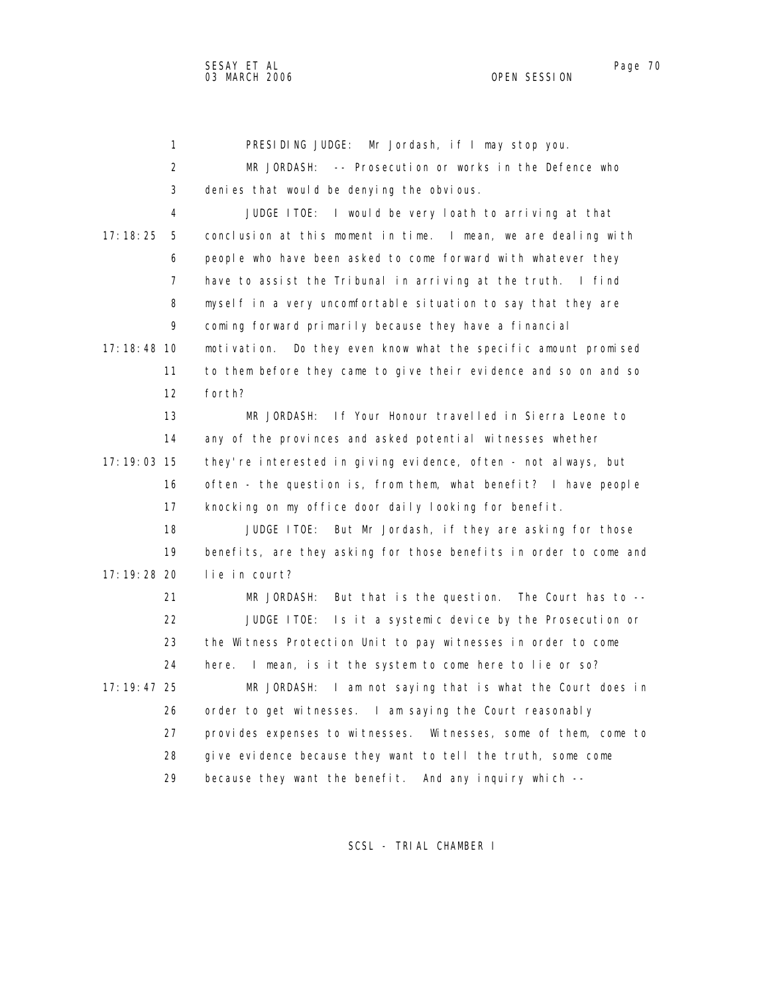1 PRESIDING JUDGE: Mr Jordash, if I may stop you. 2 MR JORDASH: -- Prosecution or works in the Defence who 3 denies that would be denying the obvious. 4 JUDGE ITOE: I would be very loath to arriving at that 17:18:25 5 conclusion at this moment in time. I mean, we are dealing with 6 people who have been asked to come forward with whatever they 7 have to assist the Tribunal in arriving at the truth. I find 8 myself in a very uncomfortable situation to say that they are 9 coming forward primarily because they have a financial 17:18:48 10 motivation. Do they even know what the specific amount promised 11 to them before they came to give their evidence and so on and so 12 forth? 13 MR JORDASH: If Your Honour travelled in Sierra Leone to 14 any of the provinces and asked potential witnesses whether 17:19:03 15 they're interested in giving evidence, often - not always, but 16 often - the question is, from them, what benefit? I have people 17 knocking on my office door daily looking for benefit. 18 JUDGE ITOE: But Mr Jordash, if they are asking for those 19 benefits, are they asking for those benefits in order to come and 17:19:28 20 lie in court? 21 MR JORDASH: But that is the question. The Court has to -- 22 JUDGE ITOE: Is it a systemic device by the Prosecution or 23 the Witness Protection Unit to pay witnesses in order to come 24 here. I mean, is it the system to come here to lie or so? 17:19:47 25 MR JORDASH: I am not saying that is what the Court does in 26 order to get witnesses. I am saying the Court reasonably 27 provides expenses to witnesses. Witnesses, some of them, come to 28 give evidence because they want to tell the truth, some come 29 because they want the benefit. And any inquiry which --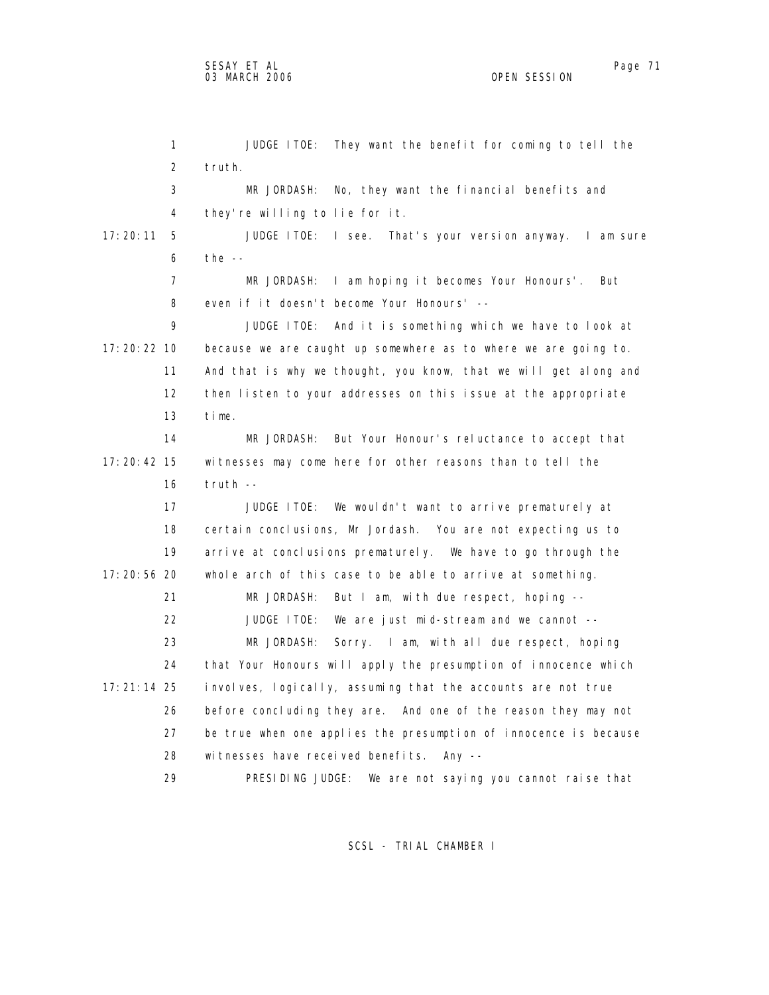1 JUDGE ITOE: They want the benefit for coming to tell the 2 truth. 3 MR JORDASH: No, they want the financial benefits and 4 they're willing to lie for it. 17:20:11 5 JUDGE ITOE: I see. That's your version anyway. I am sure 6 the -- 7 MR JORDASH: I am hoping it becomes Your Honours'. But 8 even if it doesn't become Your Honours' -- 9 JUDGE ITOE: And it is something which we have to look at 17:20:22 10 because we are caught up somewhere as to where we are going to. 11 And that is why we thought, you know, that we will get along and 12 then listen to your addresses on this issue at the appropriate 13 time. 14 MR JORDASH: But Your Honour's reluctance to accept that 17:20:42 15 witnesses may come here for other reasons than to tell the 16 truth -- 17 JUDGE ITOE: We wouldn't want to arrive prematurely at 18 certain conclusions, Mr Jordash. You are not expecting us to 19 arrive at conclusions prematurely. We have to go through the 17:20:56 20 whole arch of this case to be able to arrive at something. 21 MR JORDASH: But I am, with due respect, hoping -- 22 JUDGE ITOE: We are just mid-stream and we cannot -- 23 MR JORDASH: Sorry. I am, with all due respect, hoping 24 that Your Honours will apply the presumption of innocence which 17:21:14 25 involves, logically, assuming that the accounts are not true 26 before concluding they are. And one of the reason they may not 27 be true when one applies the presumption of innocence is because 28 witnesses have received benefits. Any -- 29 PRESIDING JUDGE: We are not saying you cannot raise that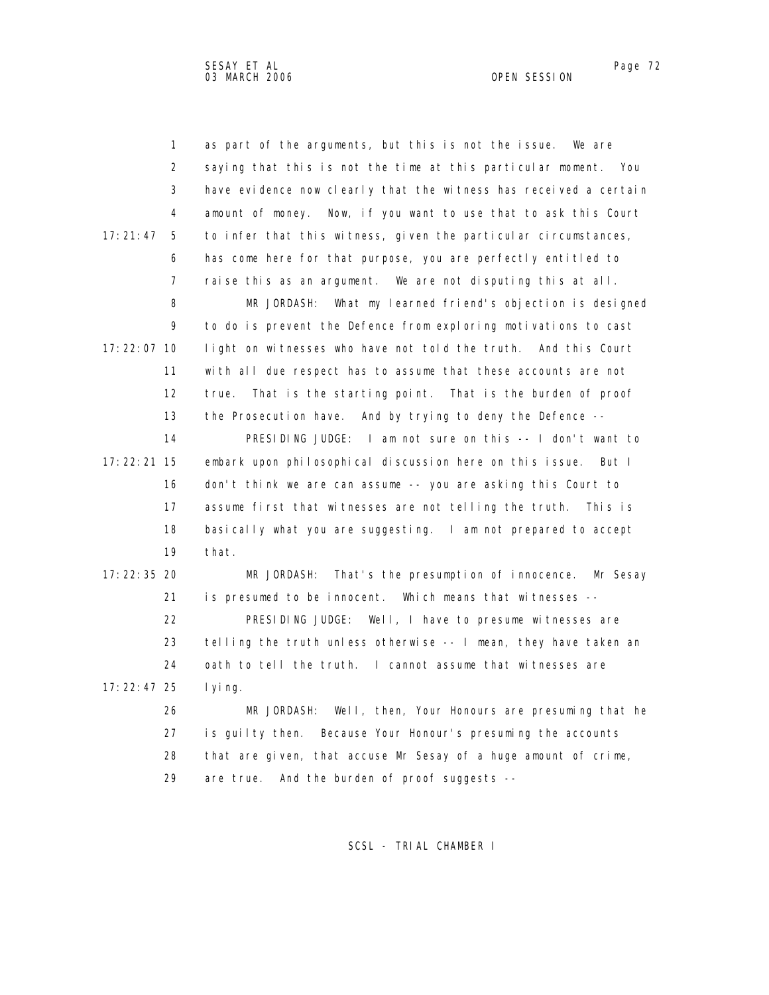1 as part of the arguments, but this is not the issue. We are 2 saying that this is not the time at this particular moment. You 3 have evidence now clearly that the witness has received a certain 4 amount of money. Now, if you want to use that to ask this Court 17:21:47 5 to infer that this witness, given the particular circumstances, 6 has come here for that purpose, you are perfectly entitled to 7 raise this as an argument. We are not disputing this at all. 8 MR JORDASH: What my learned friend's objection is designed 9 to do is prevent the Defence from exploring motivations to cast 17:22:07 10 light on witnesses who have not told the truth. And this Court 11 with all due respect has to assume that these accounts are not 12 true. That is the starting point. That is the burden of proof 13 the Prosecution have. And by trying to deny the Defence -- 14 PRESIDING JUDGE: I am not sure on this -- I don't want to 17:22:21 15 embark upon philosophical discussion here on this issue. But I 16 don't think we are can assume -- you are asking this Court to 17 assume first that witnesses are not telling the truth. This is 18 basically what you are suggesting. I am not prepared to accept 19 that. 17:22:35 20 MR JORDASH: That's the presumption of innocence. Mr Sesay 21 is presumed to be innocent. Which means that witnesses -- 22 PRESIDING JUDGE: Well, I have to presume witnesses are 23 telling the truth unless otherwise -- I mean, they have taken an 24 oath to tell the truth. I cannot assume that witnesses are 17:22:47 25 lying. 26 MR JORDASH: Well, then, Your Honours are presuming that he 27 is guilty then. Because Your Honour's presuming the accounts 28 that are given, that accuse Mr Sesay of a huge amount of crime, 29 are true. And the burden of proof suggests --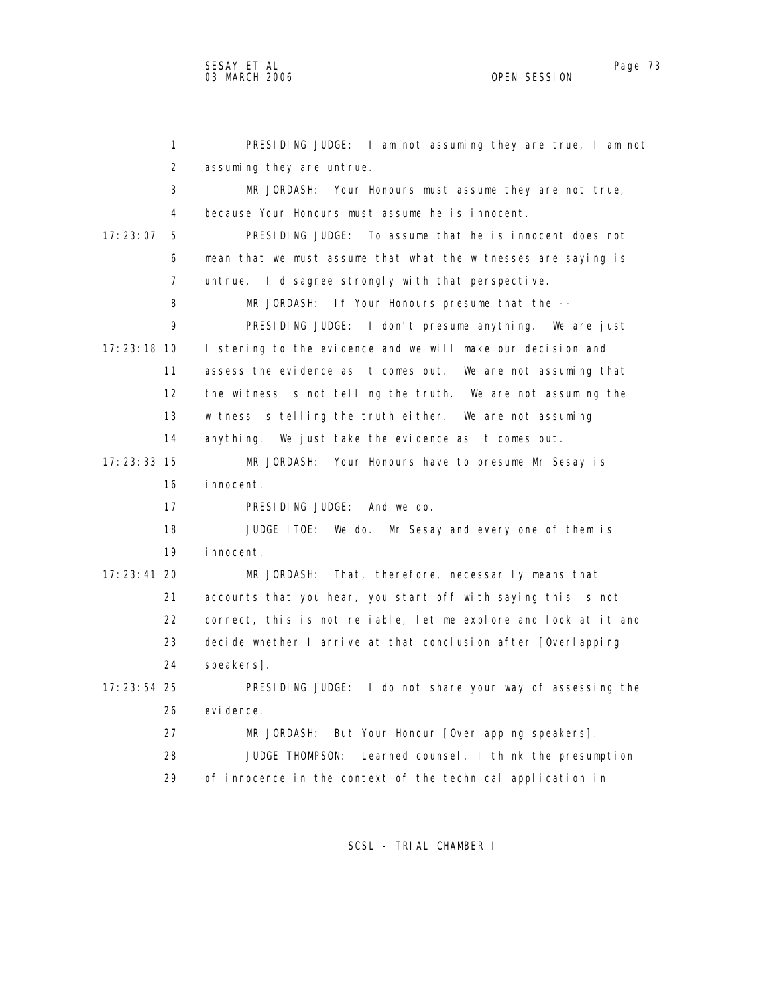1 PRESIDING JUDGE: I am not assuming they are true, I am not 2 assuming they are untrue. 3 MR JORDASH: Your Honours must assume they are not true, 4 because Your Honours must assume he is innocent. 17:23:07 5 PRESIDING JUDGE: To assume that he is innocent does not 6 mean that we must assume that what the witnesses are saying is 7 untrue. I disagree strongly with that perspective. 8 MR JORDASH: If Your Honours presume that the -- 9 PRESIDING JUDGE: I don't presume anything. We are just 17:23:18 10 listening to the evidence and we will make our decision and 11 assess the evidence as it comes out. We are not assuming that 12 the witness is not telling the truth. We are not assuming the 13 witness is telling the truth either. We are not assuming 14 anything. We just take the evidence as it comes out. 17:23:33 15 MR JORDASH: Your Honours have to presume Mr Sesay is 16 innocent. 17 PRESIDING JUDGE: And we do. 18 JUDGE ITOE: We do. Mr Sesay and every one of them is 19 innocent. 17:23:41 20 MR JORDASH: That, therefore, necessarily means that 21 accounts that you hear, you start off with saying this is not 22 correct, this is not reliable, let me explore and look at it and 23 decide whether I arrive at that conclusion after [Overlapping 24 speakers]. 17:23:54 25 PRESIDING JUDGE: I do not share your way of assessing the 26 evidence. 27 MR JORDASH: But Your Honour [Overlapping speakers]. 28 JUDGE THOMPSON: Learned counsel, I think the presumption 29 of innocence in the context of the technical application in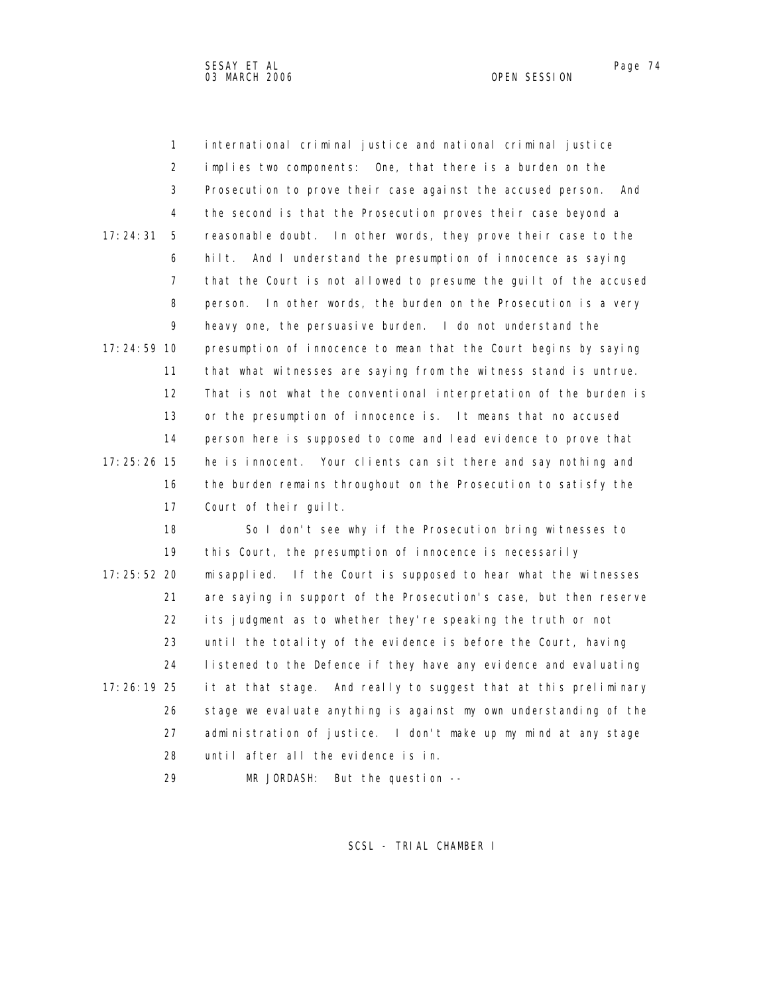1 international criminal justice and national criminal justice 2 implies two components: One, that there is a burden on the 3 Prosecution to prove their case against the accused person. And 4 the second is that the Prosecution proves their case beyond a 17:24:31 5 reasonable doubt. In other words, they prove their case to the 6 hilt. And I understand the presumption of innocence as saying 7 that the Court is not allowed to presume the guilt of the accused 8 person. In other words, the burden on the Prosecution is a very 9 heavy one, the persuasive burden. I do not understand the 17:24:59 10 presumption of innocence to mean that the Court begins by saying 11 that what witnesses are saying from the witness stand is untrue. 12 That is not what the conventional interpretation of the burden is 13 or the presumption of innocence is. It means that no accused 14 person here is supposed to come and lead evidence to prove that 17:25:26 15 he is innocent. Your clients can sit there and say nothing and 16 the burden remains throughout on the Prosecution to satisfy the 17 Court of their guilt. 18 So I don't see why if the Prosecution bring witnesses to

 19 this Court, the presumption of innocence is necessarily 17:25:52 20 misapplied. If the Court is supposed to hear what the witnesses 21 are saying in support of the Prosecution's case, but then reserve 22 its judgment as to whether they're speaking the truth or not 23 until the totality of the evidence is before the Court, having 24 listened to the Defence if they have any evidence and evaluating 17:26:19 25 it at that stage. And really to suggest that at this preliminary 26 stage we evaluate anything is against my own understanding of the 27 administration of justice. I don't make up my mind at any stage 28 until after all the evidence is in.

29 MR JORDASH: But the question --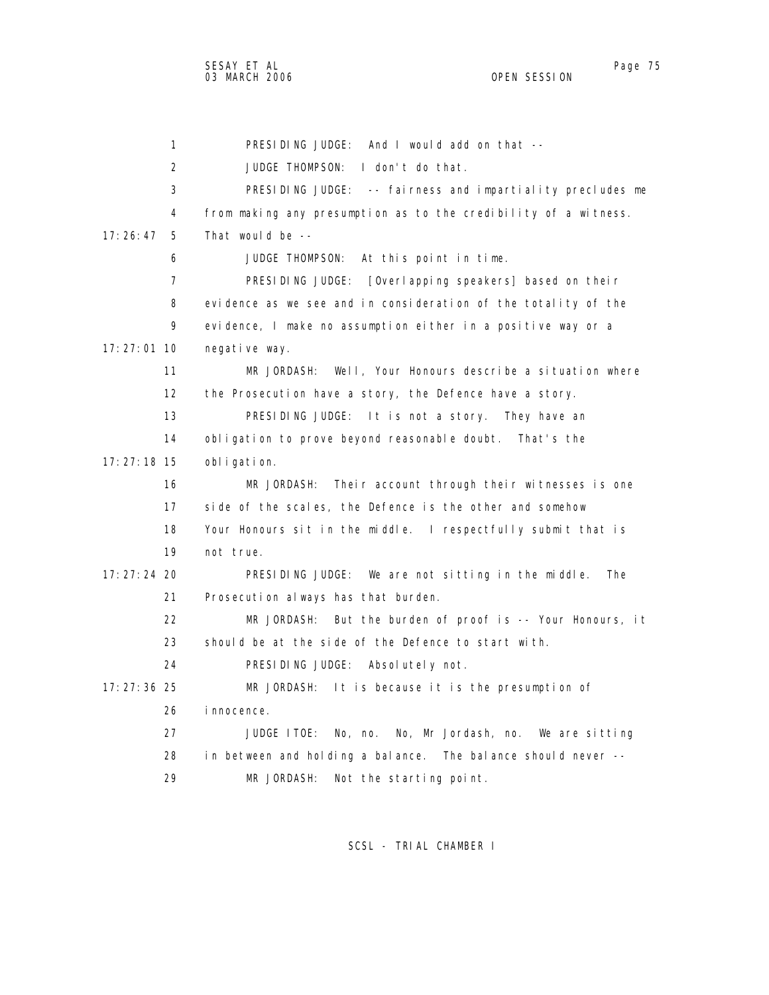1 PRESIDING JUDGE: And I would add on that -- 2 JUDGE THOMPSON: I don't do that. 3 PRESIDING JUDGE: -- fairness and impartiality precludes me 4 from making any presumption as to the credibility of a witness. 17:26:47 5 That would be -- 6 JUDGE THOMPSON: At this point in time. 7 PRESIDING JUDGE: [Overlapping speakers] based on their 8 evidence as we see and in consideration of the totality of the 9 evidence, I make no assumption either in a positive way or a 17:27:01 10 negative way. 11 MR JORDASH: Well, Your Honours describe a situation where 12 the Prosecution have a story, the Defence have a story. 13 PRESIDING JUDGE: It is not a story. They have an 14 obligation to prove beyond reasonable doubt. That's the 17:27:18 15 obligation. 16 MR JORDASH: Their account through their witnesses is one 17 side of the scales, the Defence is the other and somehow 18 Your Honours sit in the middle. I respectfully submit that is 19 not true. 17:27:24 20 PRESIDING JUDGE: We are not sitting in the middle. The 21 Prosecution always has that burden. 22 MR JORDASH: But the burden of proof is -- Your Honours, it 23 should be at the side of the Defence to start with. 24 PRESIDING JUDGE: Absolutely not. 17:27:36 25 MR JORDASH: It is because it is the presumption of 26 innocence. 27 JUDGE ITOE: No, no. No, Mr Jordash, no. We are sitting 28 in between and holding a balance. The balance should never -- 29 MR JORDASH: Not the starting point.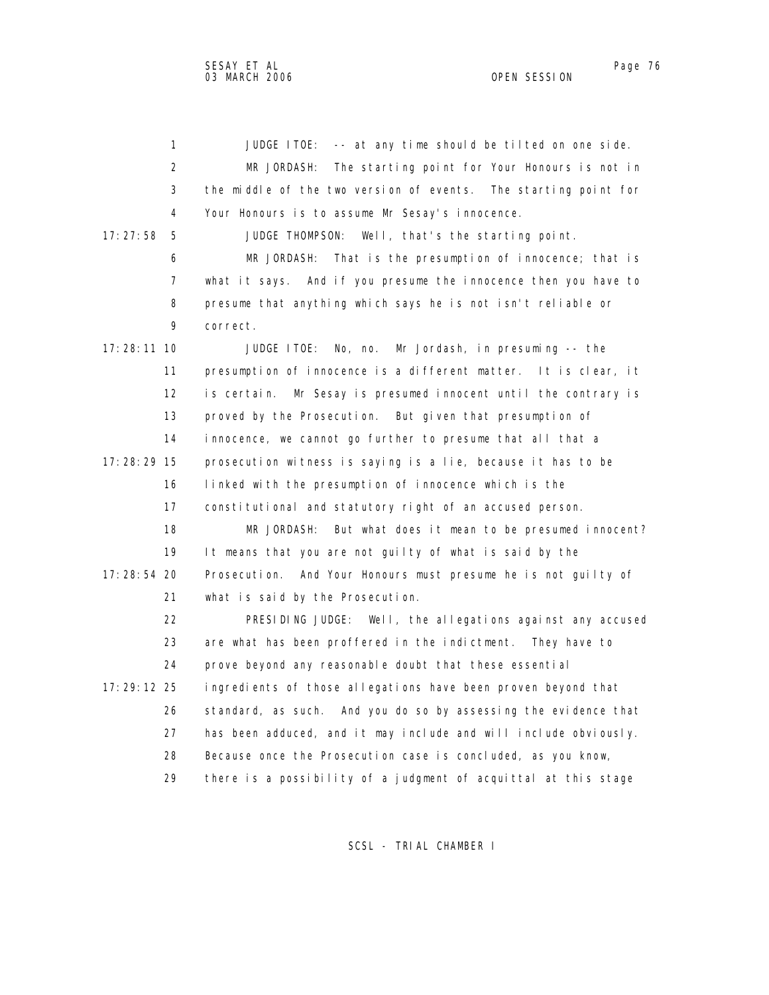1 JUDGE ITOE: -- at any time should be tilted on one side. 2 MR JORDASH: The starting point for Your Honours is not in 3 the middle of the two version of events. The starting point for 4 Your Honours is to assume Mr Sesay's innocence. 17:27:58 5 JUDGE THOMPSON: Well, that's the starting point. 6 MR JORDASH: That is the presumption of innocence; that is 7 what it says. And if you presume the innocence then you have to 8 presume that anything which says he is not isn't reliable or 9 correct. 17:28:11 10 JUDGE ITOE: No, no. Mr Jordash, in presuming -- the 11 presumption of innocence is a different matter. It is clear, it 12 is certain. Mr Sesay is presumed innocent until the contrary is 13 proved by the Prosecution. But given that presumption of 14 innocence, we cannot go further to presume that all that a 17:28:29 15 prosecution witness is saying is a lie, because it has to be 16 linked with the presumption of innocence which is the 17 constitutional and statutory right of an accused person. 18 MR JORDASH: But what does it mean to be presumed innocent? 19 It means that you are not guilty of what is said by the 17:28:54 20 Prosecution. And Your Honours must presume he is not guilty of 21 what is said by the Prosecution. 22 PRESIDING JUDGE: Well, the allegations against any accused 23 are what has been proffered in the indictment. They have to 24 prove beyond any reasonable doubt that these essential 17:29:12 25 ingredients of those allegations have been proven beyond that 26 standard, as such. And you do so by assessing the evidence that 27 has been adduced, and it may include and will include obviously. 28 Because once the Prosecution case is concluded, as you know, 29 there is a possibility of a judgment of acquittal at this stage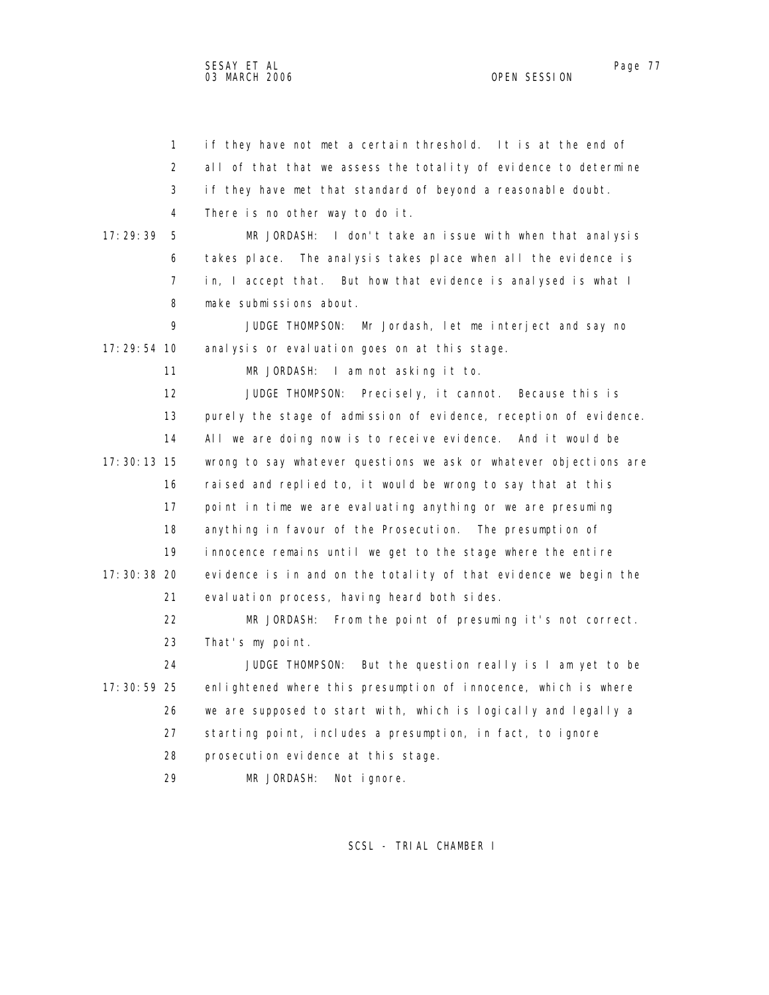1 if they have not met a certain threshold. It is at the end of 2 all of that that we assess the totality of evidence to determine

 3 if they have met that standard of beyond a reasonable doubt. 4 There is no other way to do it.

 17:29:39 5 MR JORDASH: I don't take an issue with when that analysis 6 takes place. The analysis takes place when all the evidence is 7 in, I accept that. But how that evidence is analysed is what I 8 make submissions about.

 9 JUDGE THOMPSON: Mr Jordash, let me interject and say no 17:29:54 10 analysis or evaluation goes on at this stage.

11 MR JORDASH: I am not asking it to.

 12 JUDGE THOMPSON: Precisely, it cannot. Because this is 13 purely the stage of admission of evidence, reception of evidence. 14 All we are doing now is to receive evidence. And it would be 17:30:13 15 wrong to say whatever questions we ask or whatever objections are 16 raised and replied to, it would be wrong to say that at this 17 point in time we are evaluating anything or we are presuming 18 anything in favour of the Prosecution. The presumption of 19 innocence remains until we get to the stage where the entire 17:30:38 20 evidence is in and on the totality of that evidence we begin the 21 evaluation process, having heard both sides.

> 22 MR JORDASH: From the point of presuming it's not correct. 23 That's my point.

 24 JUDGE THOMPSON: But the question really is I am yet to be 17:30:59 25 enlightened where this presumption of innocence, which is where 26 we are supposed to start with, which is logically and legally a 27 starting point, includes a presumption, in fact, to ignore 28 prosecution evidence at this stage.

29 MR JORDASH: Not ignore.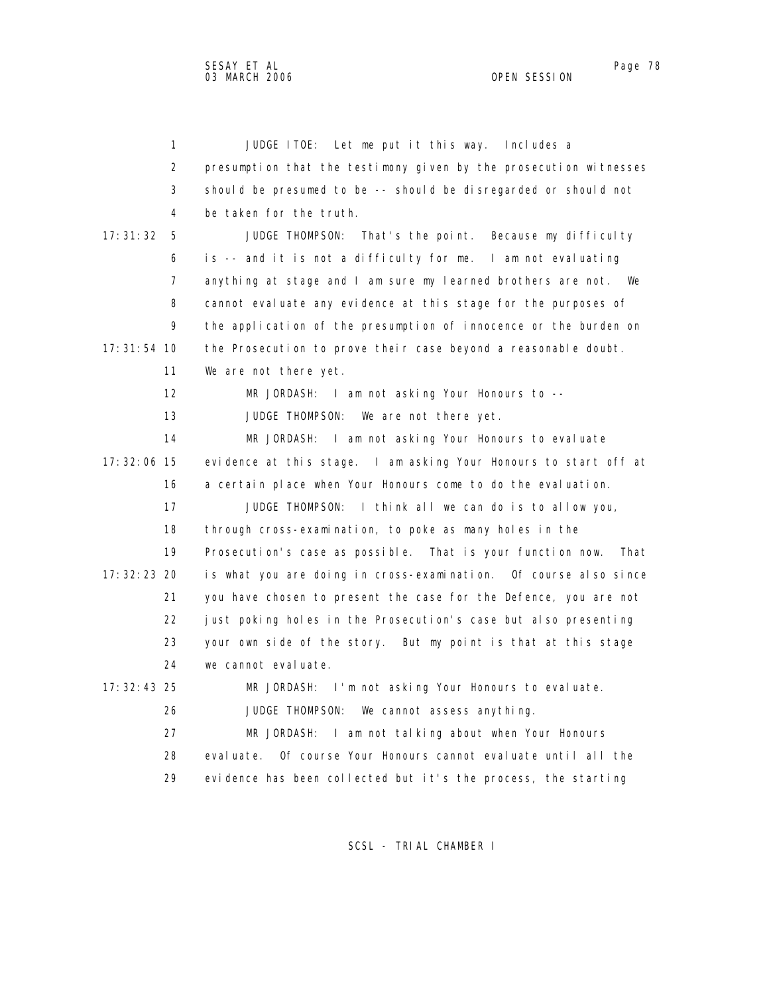| 1              | Let me put it this way. Includes a<br>JUDGE ITOE:                  |
|----------------|--------------------------------------------------------------------|
| 2              | presumption that the testimony given by the prosecution witnesses  |
| 3              | should be presumed to be -- should be disregarded or should not    |
| 4              | be taken for the truth.                                            |
| 17:31:32<br>5  | JUDGE THOMPSON:<br>That's the point. Because my difficulty         |
| 6              | is -- and it is not a difficulty for me. I am not evaluating       |
| $\overline{7}$ | anything at stage and I am sure my learned brothers are not. We    |
| 8              | cannot evaluate any evidence at this stage for the purposes of     |
| 9              | the application of the presumption of innocence or the burden on   |
| $17:31:54$ 10  | the Prosecution to prove their case beyond a reasonable doubt.     |
| 11             | We are not there yet.                                              |
| 12             | MR JORDASH: I am not asking Your Honours to --                     |
| 13             | JUDGE THOMPSON:<br>We are not there yet.                           |
| 14             | MR JORDASH: I am not asking Your Honours to evaluate               |
| $17:32:06$ 15  | evidence at this stage. I am asking Your Honours to start off at   |
| 16             | a certain place when Your Honours come to do the evaluation.       |
| 17             | JUDGE THOMPSON: I think all we can do is to allow you,             |
| 18             | through cross-examination, to poke as many holes in the            |
| 19             | Prosecution's case as possible. That is your function now.<br>That |
| 17: 32: 23 20  | is what you are doing in cross-examination.  Of course also since  |
| 21             | you have chosen to present the case for the Defence, you are not   |
| 22             | just poking holes in the Prosecution's case but also presenting    |
| 23             | your own side of the story. But my point is that at this stage     |
| 24             | we cannot evaluate.                                                |
| 17: 32: 43 25  | MR JORDASH: I'm not asking Your Honours to evaluate.               |
| 26             | JUDGE THOMPSON:<br>We cannot assess anything.                      |
| 27             | MR JORDASH: I am not talking about when Your Honours               |
| 28             | Of course Your Honours cannot evaluate until all the<br>eval uate. |
| 29             | evidence has been collected but it's the process, the starting     |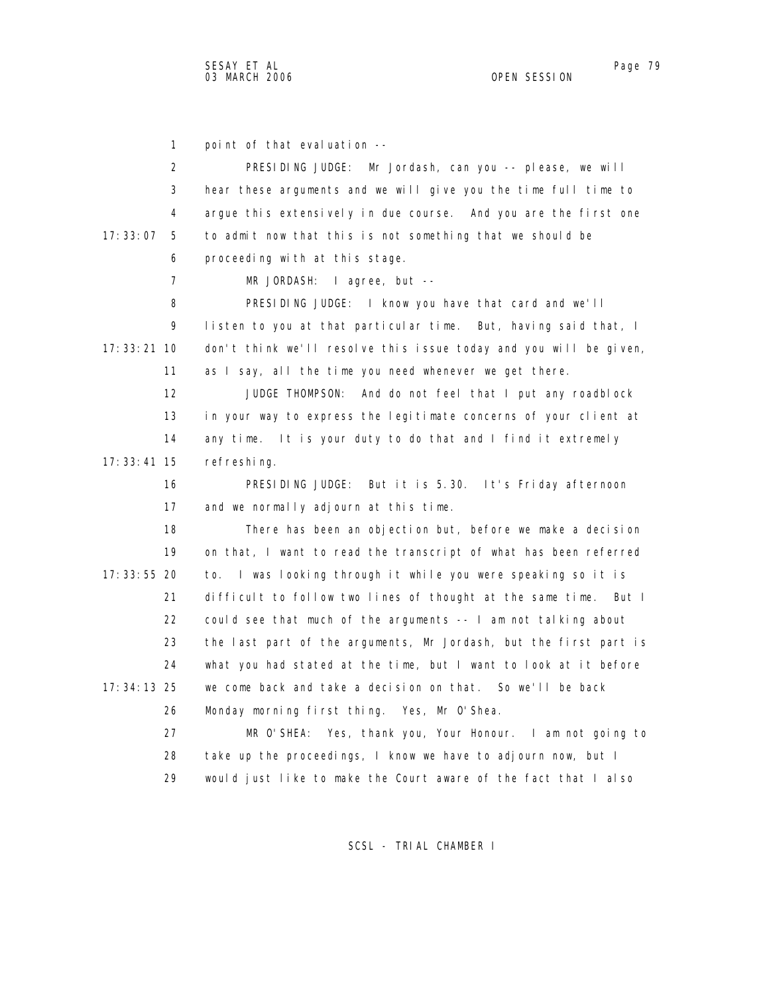1 point of that evaluation -- 2 PRESIDING JUDGE: Mr Jordash, can you -- please, we will 3 hear these arguments and we will give you the time full time to 4 argue this extensively in due course. And you are the first one 17:33:07 5 to admit now that this is not something that we should be 6 proceeding with at this stage. 7 MR JORDASH: I agree, but -- 8 PRESIDING JUDGE: I know you have that card and we'll 9 listen to you at that particular time. But, having said that, I 17:33:21 10 don't think we'll resolve this issue today and you will be given, 11 as I say, all the time you need whenever we get there. 12 JUDGE THOMPSON: And do not feel that I put any roadblock 13 in your way to express the legitimate concerns of your client at 14 any time. It is your duty to do that and I find it extremely 17:33:41 15 refreshing. 16 PRESIDING JUDGE: But it is 5.30. It's Friday afternoon 17 and we normally adjourn at this time. 18 There has been an objection but, before we make a decision 19 on that, I want to read the transcript of what has been referred 17:33:55 20 to. I was looking through it while you were speaking so it is 21 difficult to follow two lines of thought at the same time. But I 22 could see that much of the arguments -- I am not talking about 23 the last part of the arguments, Mr Jordash, but the first part is 24 what you had stated at the time, but I want to look at it before 17:34:13 25 we come back and take a decision on that. So we'll be back 26 Monday morning first thing. Yes, Mr O'Shea. 27 MR O'SHEA: Yes, thank you, Your Honour. I am not going to 28 take up the proceedings, I know we have to adjourn now, but I 29 would just like to make the Court aware of the fact that I also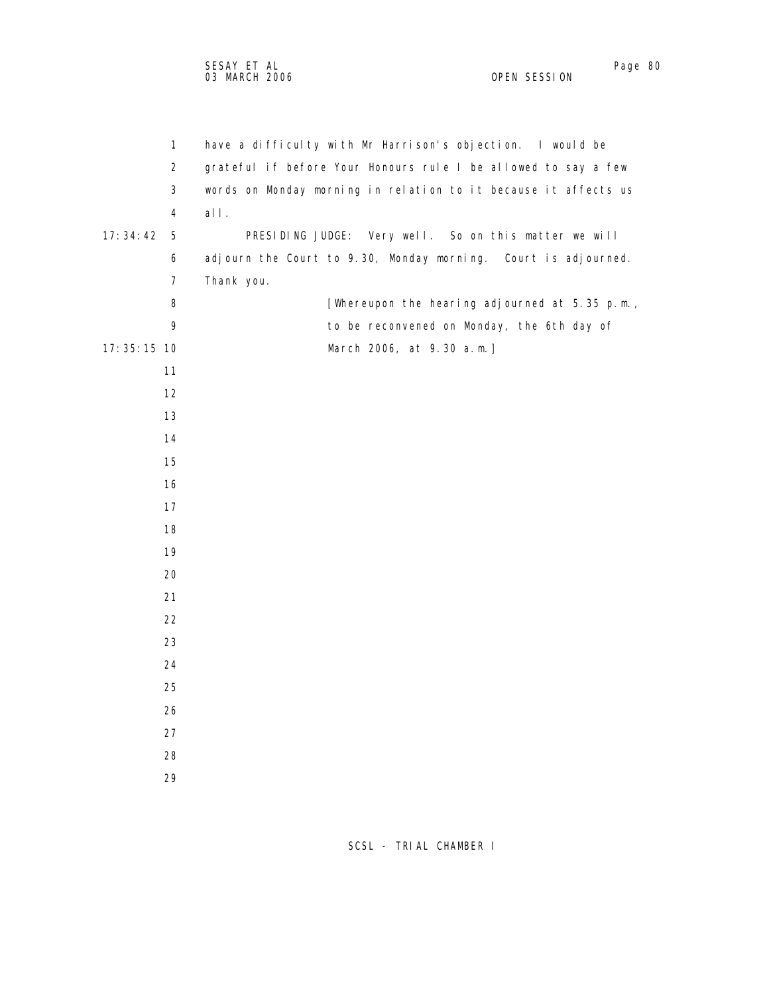| $\mathbf{1}$   | have a difficulty with Mr Harrison's objection. I would be      |
|----------------|-----------------------------------------------------------------|
| $\overline{2}$ | grateful if before Your Honours rule I be allowed to say a few  |
| 3              | words on Monday morning in relation to it because it affects us |
| $\overline{4}$ | all.                                                            |
| 17:34:42<br>5  | PRESIDING JUDGE: Very well. So on this matter we will           |
| 6              | adjourn the Court to 9.30, Monday morning. Court is adjourned.  |
| 7              | Thank you.                                                      |
| 8              | [Whereupon the hearing adjourned at 5.35 p.m.,                  |
| 9              | to be reconvened on Monday, the 6th day of                      |
| 17:35:15 10    | March 2006, at 9.30 a.m.]                                       |
| 11             |                                                                 |
| 12             |                                                                 |
| 13             |                                                                 |
| 14             |                                                                 |
| 15             |                                                                 |
| 16             |                                                                 |
| 17             |                                                                 |
| 18             |                                                                 |
| 19             |                                                                 |
| 20             |                                                                 |
| 21             |                                                                 |
| 22             |                                                                 |
| 23             |                                                                 |
| 24             |                                                                 |
| 25             |                                                                 |
| 26             |                                                                 |
| 27             |                                                                 |
| 28             |                                                                 |
| 29             |                                                                 |